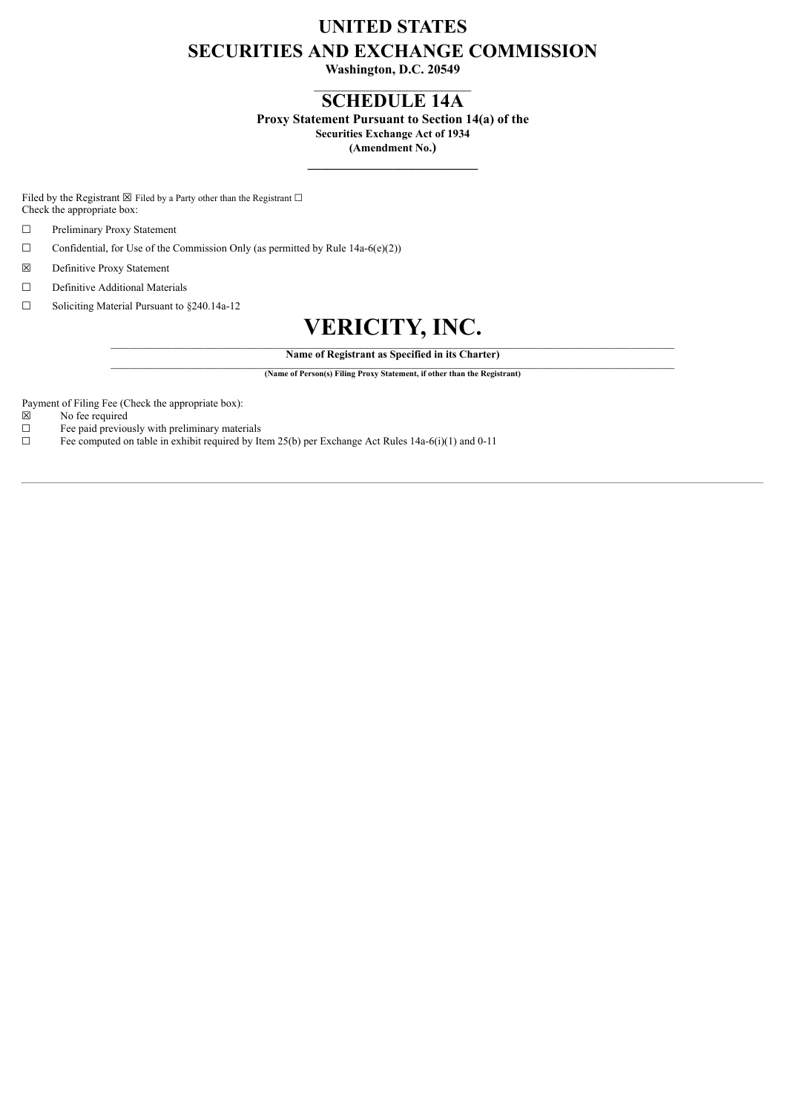# **UNITED STATES SECURITIES AND EXCHANGE COMMISSION**

**Washington, D.C. 20549**

# $\mathcal{L}_\text{max}$  and  $\mathcal{L}_\text{max}$  and  $\mathcal{L}_\text{max}$ **SCHEDULE 14A**

**Proxy Statement Pursuant to Section 14(a) of the Securities Exchange Act of 1934**

**(Amendment No.)**

Filed by the Registrant  $\boxtimes$  Filed by a Party other than the Registrant  $\square$ Check the appropriate box:

☐ Preliminary Proxy Statement

 $\Box$  Confidential, for Use of the Commission Only (as permitted by Rule 14a-6(e)(2))

☒ Definitive Proxy Statement

☐ Definitive Additional Materials

☐ Soliciting Material Pursuant to §240.14a-12

# **VERICITY, INC.**

**The set of Registrant as Specified in its Charter)** 

(Name of Person(s) Filing Proxy Statement, if other than the Registrant)

Payment of Filing Fee (Check the appropriate box):<br> $\boxtimes$  No fee required

- $\overline{\boxtimes}$  No fee required<br>  $\Box$  Fee paid previou
- $\Box$  Fee paid previously with preliminary materials  $\Box$  Fee computed on table in exhibit required by It

Fee computed on table in exhibit required by Item 25(b) per Exchange Act Rules 14a-6(i)(1) and 0-11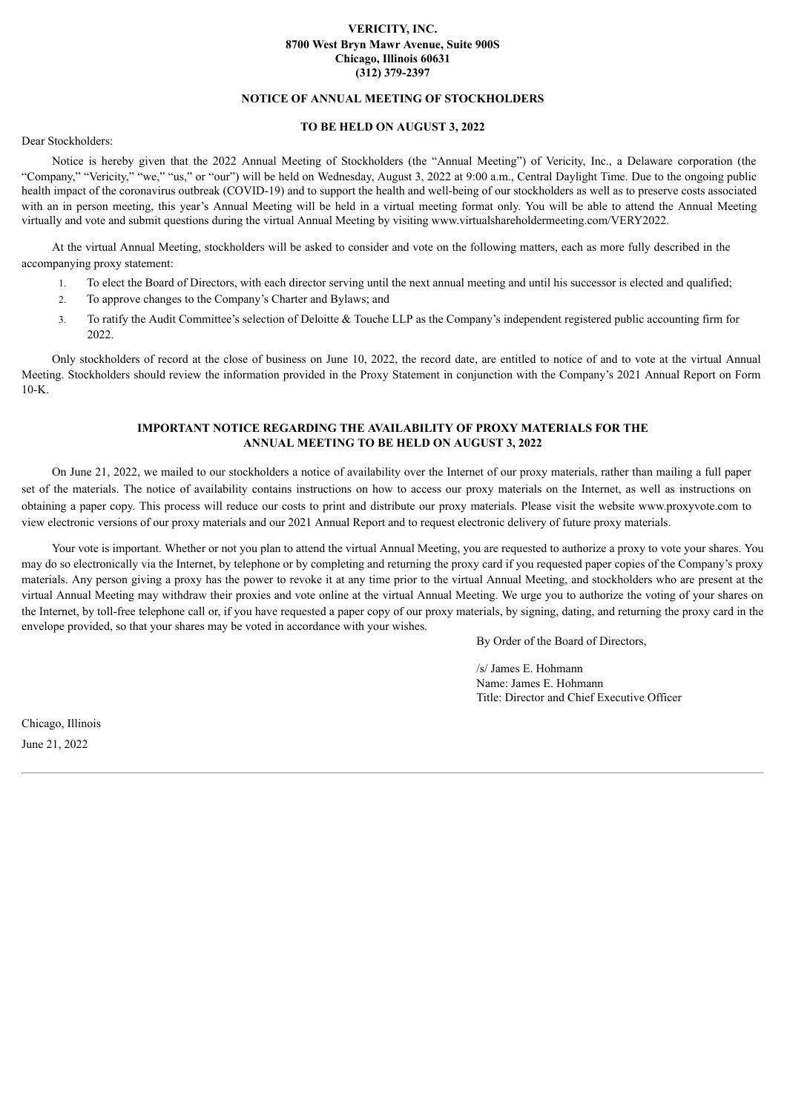### **VERICITY, INC. 8700 West Bryn Mawr Avenue, Suite 900S Chicago, Illinois 60631 (312) 379-2397**

### **NOTICE OF ANNUAL MEETING OF STOCKHOLDERS**

### **TO BE HELD ON AUGUST 3, 2022**

Dear Stockholders:

Notice is hereby given that the 2022 Annual Meeting of Stockholders (the "Annual Meeting") of Vericity, Inc., a Delaware corporation (the "Company," "Vericity," "we," "us," or "our") will be held on Wednesday, August 3, 2022 at 9:00 a.m., Central Daylight Time. Due to the ongoing public health impact of the coronavirus outbreak (COVID-19) and to support the health and well-being of our stockholders as well as to preserve costs associated with an in person meeting, this year's Annual Meeting will be held in a virtual meeting format only. You will be able to attend the Annual Meeting virtually and vote and submit questions during the virtual Annual Meeting by visiting www.virtualshareholdermeeting.com/VERY2022.

At the virtual Annual Meeting, stockholders will be asked to consider and vote on the following matters, each as more fully described in the accompanying proxy statement:

- 1. To elect the Board of Directors, with each director serving until the next annual meeting and until his successor is elected and qualified;
- 2. To approve changes to the Company's Charter and Bylaws; and
- 3. To ratify the Audit Committee's selection of Deloitte & Touche LLP as the Company's independent registered public accounting firm for 2022.

Only stockholders of record at the close of business on June 10, 2022, the record date, are entitled to notice of and to vote at the virtual Annual Meeting. Stockholders should review the information provided in the Proxy Statement in conjunction with the Company's 2021 Annual Report on Form  $10-K$ 

### **IMPORTANT NOTICE REGARDING THE AVAILABILITY OF PROXY MATERIALS FOR THE ANNUAL MEETING TO BE HELD ON AUGUST 3, 2022**

On June 21, 2022, we mailed to our stockholders a notice of availability over the Internet of our proxy materials, rather than mailing a full paper set of the materials. The notice of availability contains instructions on how to access our proxy materials on the Internet, as well as instructions on obtaining a paper copy. This process will reduce our costs to print and distribute our proxy materials. Please visit the website www.proxyvote.com to view electronic versions of our proxy materials and our 2021 Annual Report and to request electronic delivery of future proxy materials.

Your vote is important. Whether or not you plan to attend the virtual Annual Meeting, you are requested to authorize a proxy to vote your shares. You may do so electronically via the Internet, by telephone or by completing and returning the proxy card if you requested paper copies of the Company's proxy materials. Any person giving a proxy has the power to revoke it at any time prior to the virtual Annual Meeting, and stockholders who are present at the virtual Annual Meeting may withdraw their proxies and vote online at the virtual Annual Meeting. We urge you to authorize the voting of your shares on the Internet, by toll-free telephone call or, if you have requested a paper copy of our proxy materials, by signing, dating, and returning the proxy card in the envelope provided, so that your shares may be voted in accordance with your wishes.

By Order of the Board of Directors,

/s/ James E. Hohmann Name: James E. Hohmann Title: Director and Chief Executive Officer

Chicago, Illinois June 21, 2022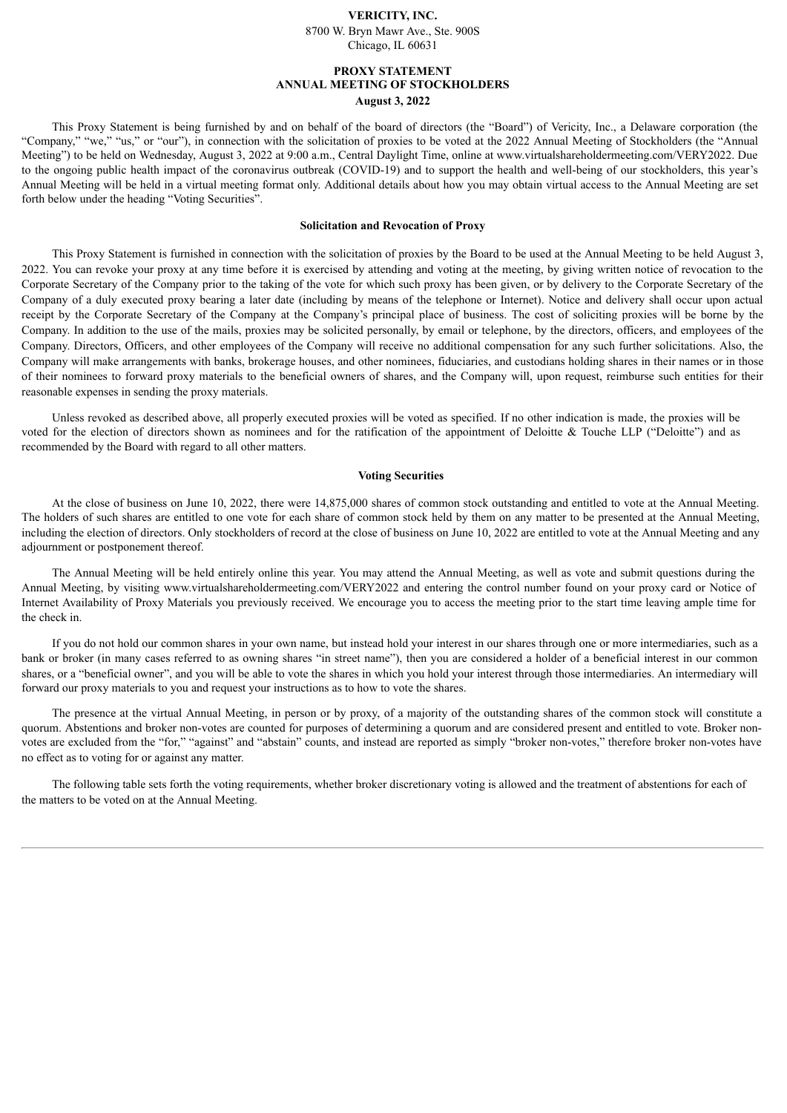## **VERICITY, INC.** 8700 W. Bryn Mawr Ave., Ste. 900S

Chicago, IL 60631

### **PROXY STATEMENT ANNUAL MEETING OF STOCKHOLDERS August 3, 2022**

This Proxy Statement is being furnished by and on behalf of the board of directors (the "Board") of Vericity, Inc., a Delaware corporation (the "Company," "we," "us," or "our"), in connection with the solicitation of proxies to be voted at the 2022 Annual Meeting of Stockholders (the "Annual Meeting") to be held on Wednesday, August 3, 2022 at 9:00 a.m., Central Daylight Time, online at www.virtualshareholdermeeting.com/VERY2022. Due to the ongoing public health impact of the coronavirus outbreak (COVID-19) and to support the health and well-being of our stockholders, this year's Annual Meeting will be held in a virtual meeting format only. Additional details about how you may obtain virtual access to the Annual Meeting are set forth below under the heading "Voting Securities".

### **Solicitation and Revocation of Proxy**

This Proxy Statement is furnished in connection with the solicitation of proxies by the Board to be used at the Annual Meeting to be held August 3, 2022. You can revoke your proxy at any time before it is exercised by attending and voting at the meeting, by giving written notice of revocation to the Corporate Secretary of the Company prior to the taking of the vote for which such proxy has been given, or by delivery to the Corporate Secretary of the Company of a duly executed proxy bearing a later date (including by means of the telephone or Internet). Notice and delivery shall occur upon actual receipt by the Corporate Secretary of the Company at the Company's principal place of business. The cost of soliciting proxies will be borne by the Company. In addition to the use of the mails, proxies may be solicited personally, by email or telephone, by the directors, officers, and employees of the Company. Directors, Officers, and other employees of the Company will receive no additional compensation for any such further solicitations. Also, the Company will make arrangements with banks, brokerage houses, and other nominees, fiduciaries, and custodians holding shares in their names or in those of their nominees to forward proxy materials to the beneficial owners of shares, and the Company will, upon request, reimburse such entities for their reasonable expenses in sending the proxy materials.

Unless revoked as described above, all properly executed proxies will be voted as specified. If no other indication is made, the proxies will be voted for the election of directors shown as nominees and for the ratification of the appointment of Deloitte & Touche LLP ("Deloitte") and as recommended by the Board with regard to all other matters.

#### **Voting Securities**

At the close of business on June 10, 2022, there were 14,875,000 shares of common stock outstanding and entitled to vote at the Annual Meeting. The holders of such shares are entitled to one vote for each share of common stock held by them on any matter to be presented at the Annual Meeting, including the election of directors. Only stockholders of record at the close of business on June 10, 2022 are entitled to vote at the Annual Meeting and any adjournment or postponement thereof.

The Annual Meeting will be held entirely online this year. You may attend the Annual Meeting, as well as vote and submit questions during the Annual Meeting, by visiting www.virtualshareholdermeeting.com/VERY2022 and entering the control number found on your proxy card or Notice of Internet Availability of Proxy Materials you previously received. We encourage you to access the meeting prior to the start time leaving ample time for the check in.

If you do not hold our common shares in your own name, but instead hold your interest in our shares through one or more intermediaries, such as a bank or broker (in many cases referred to as owning shares "in street name"), then you are considered a holder of a beneficial interest in our common shares, or a "beneficial owner", and you will be able to vote the shares in which you hold your interest through those intermediaries. An intermediary will forward our proxy materials to you and request your instructions as to how to vote the shares.

The presence at the virtual Annual Meeting, in person or by proxy, of a majority of the outstanding shares of the common stock will constitute a quorum. Abstentions and broker non-votes are counted for purposes of determining a quorum and are considered present and entitled to vote. Broker nonvotes are excluded from the "for," "against" and "abstain" counts, and instead are reported as simply "broker non-votes," therefore broker non-votes have no effect as to voting for or against any matter.

The following table sets forth the voting requirements, whether broker discretionary voting is allowed and the treatment of abstentions for each of the matters to be voted on at the Annual Meeting.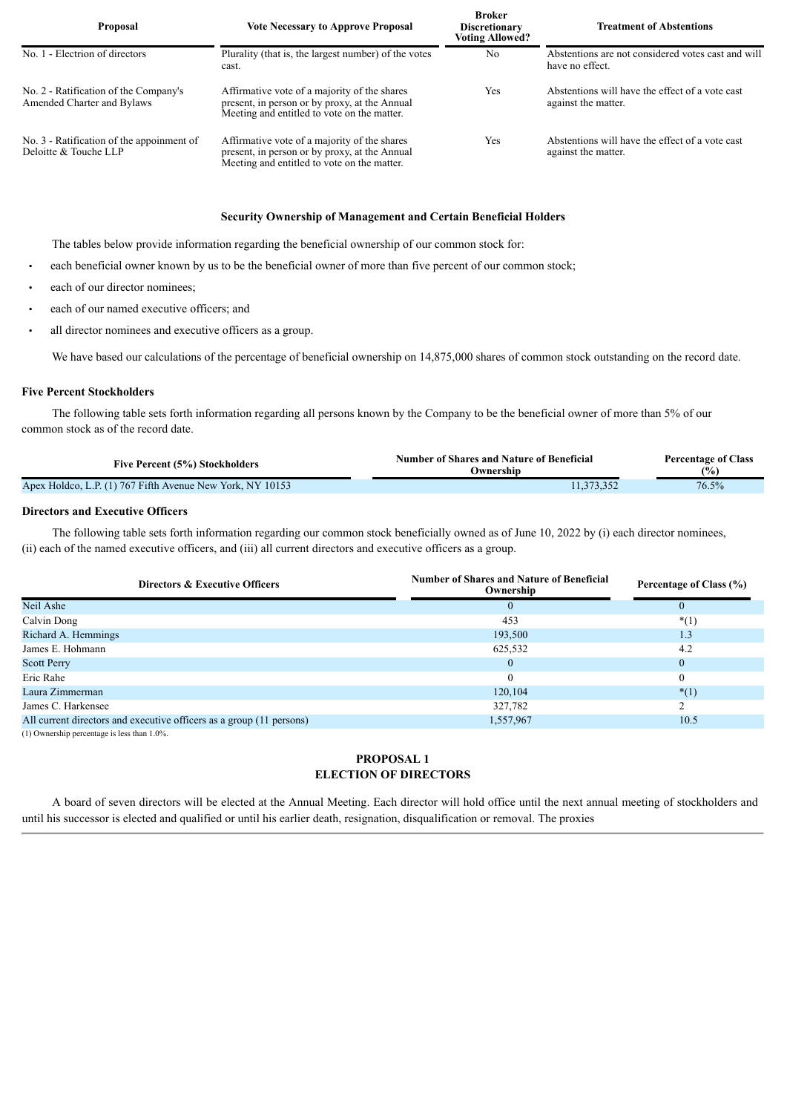| <b>Proposal</b>                                                     | <b>Vote Necessary to Approve Proposal</b>                                                                                                    | <b>Broker</b><br><b>Discretionary</b><br><b>Voting Allowed?</b> | <b>Treatment of Abstentions</b>                                        |  |  |  |
|---------------------------------------------------------------------|----------------------------------------------------------------------------------------------------------------------------------------------|-----------------------------------------------------------------|------------------------------------------------------------------------|--|--|--|
| No. 1 - Electrion of directors                                      | Plurality (that is, the largest number) of the votes<br>cast.                                                                                | No                                                              | Abstentions are not considered votes cast and will<br>have no effect.  |  |  |  |
| No. 2 - Ratification of the Company's<br>Amended Charter and Bylaws | Affirmative vote of a majority of the shares<br>present, in person or by proxy, at the Annual<br>Meeting and entitled to vote on the matter. | Yes                                                             | Abstentions will have the effect of a vote cast<br>against the matter. |  |  |  |
| No. 3 - Ratification of the appoinment of<br>Deloitte & Touche LLP  | Affirmative vote of a majority of the shares<br>present, in person or by proxy, at the Annual<br>Meeting and entitled to vote on the matter. | Yes                                                             | Abstentions will have the effect of a vote cast<br>against the matter. |  |  |  |

#### **Security Ownership of Management and Certain Beneficial Holders**

The tables below provide information regarding the beneficial ownership of our common stock for:

- each beneficial owner known by us to be the beneficial owner of more than five percent of our common stock;
- each of our director nominees;
- each of our named executive officers; and
- all director nominees and executive officers as a group.

We have based our calculations of the percentage of beneficial ownership on 14,875,000 shares of common stock outstanding on the record date.

### **Five Percent Stockholders**

The following table sets forth information regarding all persons known by the Company to be the beneficial owner of more than 5% of our common stock as of the record date.

| Five Percent (5%) Stockholders                            | <b>Number of Shares and Nature of Beneficial</b><br>Ownership | <b>Percentage of Class</b><br>(°/0) |
|-----------------------------------------------------------|---------------------------------------------------------------|-------------------------------------|
| Apex Holdco, L.P. (1) 767 Fifth Avenue New York, NY 10153 | 11.373.352                                                    | 76.5%                               |

### **Directors and Executive Officers**

The following table sets forth information regarding our common stock beneficially owned as of June 10, 2022 by (i) each director nominees, (ii) each of the named executive officers, and (iii) all current directors and executive officers as a group.

| <b>Number of Shares and Nature of Beneficial</b><br>Ownership | Percentage of Class (%) |
|---------------------------------------------------------------|-------------------------|
| $\theta$                                                      | $\theta$                |
| 453                                                           | $*(1)$                  |
| 193,500                                                       | 1.3                     |
| 625,532                                                       | 4.2                     |
| $\theta$                                                      | $\mathbf{0}$            |
|                                                               | 0                       |
| 120,104                                                       | $*(1)$                  |
| 327,782                                                       |                         |
| 1,557,967                                                     | 10.5                    |
|                                                               |                         |

(1) Ownership percentage is less than 1.0%.

### **PROPOSAL 1 ELECTION OF DIRECTORS**

A board of seven directors will be elected at the Annual Meeting. Each director will hold office until the next annual meeting of stockholders and until his successor is elected and qualified or until his earlier death, resignation, disqualification or removal. The proxies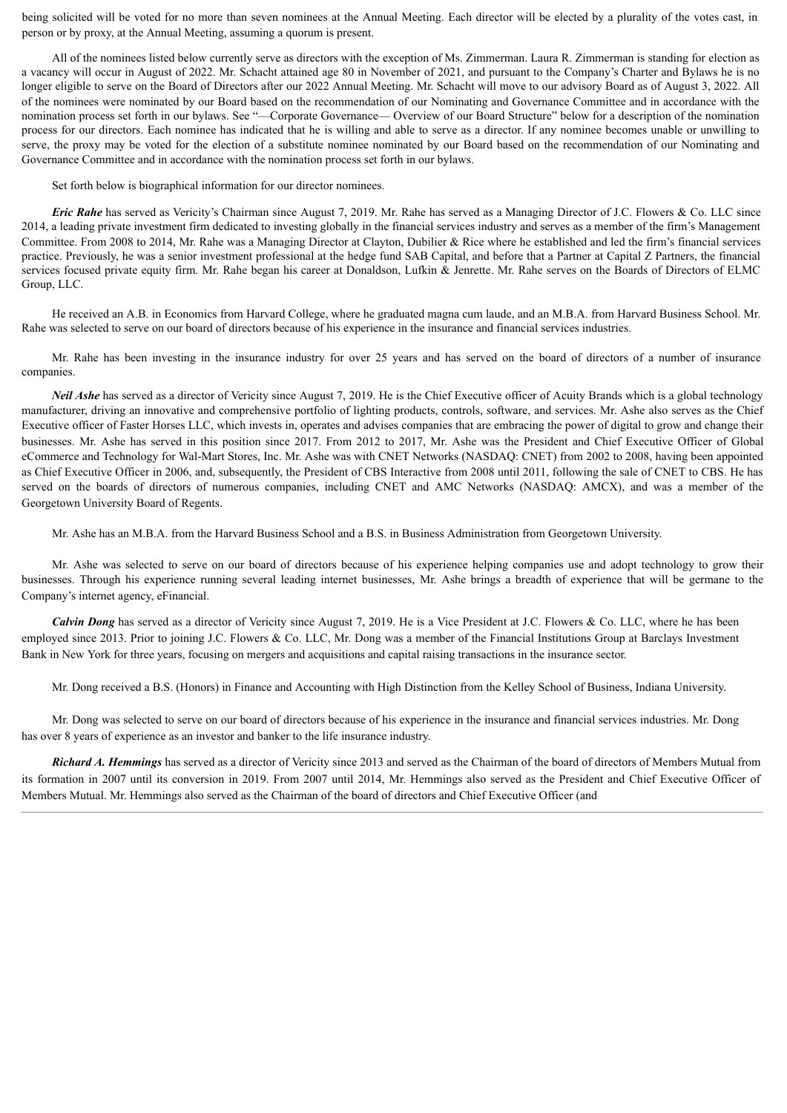being solicited will be voted for no more than seven nominees at the Annual Meeting. Each director will be elected by a plurality of the votes cast, in person or by proxy, at the Annual Meeting, assuming a quorum is present.

All of the nominees listed below currently serve as directors with the exception of Ms. Zimmerman. Laura R. Zimmerman is standing for election as a vacancy will occur in August of 2022. Mr. Schacht attained age 80 in November of 2021, and pursuant to the Company's Charter and Bylaws he is no longer eligible to serve on the Board of Directors after our 2022 Annual Meeting. Mr. Schacht will move to our advisory Board as of August 3, 2022. All of the nominees were nominated by our Board based on the recommendation of our Nominating and Governance Committee and in accordance with the nomination process set forth in our bylaws. See "—Corporate Governance— Overview of our Board Structure" below for a description of the nomination process for our directors. Each nominee has indicated that he is willing and able to serve as a director. If any nominee becomes unable or unwilling to serve, the proxy may be voted for the election of a substitute nominee nominated by our Board based on the recommendation of our Nominating and Governance Committee and in accordance with the nomination process set forth in our bylaws.

Set forth below is biographical information for our director nominees.

*Eric Rahe* has served as Vericity's Chairman since August 7, 2019. Mr. Rahe has served as a Managing Director of J.C. Flowers & Co. LLC since 2014, a leading private investment firm dedicated to investing globally in the financial services industry and serves as a member of the firm's Management Committee. From 2008 to 2014, Mr. Rahe was a Managing Director at Clayton, Dubilier & Rice where he established and led the firm's financial services practice. Previously, he was a senior investment professional at the hedge fund SAB Capital, and before that a Partner at Capital Z Partners, the financial services focused private equity firm. Mr. Rahe began his career at Donaldson, Lufkin & Jenrette. Mr. Rahe serves on the Boards of Directors of ELMC Group, LLC.

He received an A.B. in Economics from Harvard College, where he graduated magna cum laude, and an M.B.A. from Harvard Business School. Mr. Rahe was selected to serve on our board of directors because of his experience in the insurance and financial services industries.

Mr. Rahe has been investing in the insurance industry for over 25 years and has served on the board of directors of a number of insurance companies.

*Neil Ashe* has served as a director of Vericity since August 7, 2019. He is the Chief Executive officer of Acuity Brands which is a global technology manufacturer, driving an innovative and comprehensive portfolio of lighting products, controls, software, and services. Mr. Ashe also serves as the Chief Executive officer of Faster Horses LLC, which invests in, operates and advises companies that are embracing the power of digital to grow and change their businesses. Mr. Ashe has served in this position since 2017. From 2012 to 2017, Mr. Ashe was the President and Chief Executive Officer of Global eCommerce and Technology for Wal-Mart Stores, Inc. Mr. Ashe was with CNET Networks (NASDAQ: CNET) from 2002 to 2008, having been appointed as Chief Executive Officer in 2006, and, subsequently, the President of CBS Interactive from 2008 until 2011, following the sale of CNET to CBS. He has served on the boards of directors of numerous companies, including CNET and AMC Networks (NASDAQ: AMCX), and was a member of the Georgetown University Board of Regents.

Mr. Ashe has an M.B.A. from the Harvard Business School and a B.S. in Business Administration from Georgetown University.

Mr. Ashe was selected to serve on our board of directors because of his experience helping companies use and adopt technology to grow their businesses. Through his experience running several leading internet businesses, Mr. Ashe brings a breadth of experience that will be germane to the Company's internet agency, eFinancial.

*Calvin Dong* has served as a director of Vericity since August 7, 2019. He is a Vice President at J.C. Flowers & Co. LLC, where he has been employed since 2013. Prior to joining J.C. Flowers & Co. LLC, Mr. Dong was a member of the Financial Institutions Group at Barclays Investment Bank in New York for three years, focusing on mergers and acquisitions and capital raising transactions in the insurance sector.

Mr. Dong received a B.S. (Honors) in Finance and Accounting with High Distinction from the Kelley School of Business, Indiana University.

Mr. Dong was selected to serve on our board of directors because of his experience in the insurance and financial services industries. Mr. Dong has over 8 years of experience as an investor and banker to the life insurance industry.

*Richard A. Hemmings* has served as a director of Vericity since 2013 and served as the Chairman of the board of directors of Members Mutual from its formation in 2007 until its conversion in 2019. From 2007 until 2014, Mr. Hemmings also served as the President and Chief Executive Officer of Members Mutual. Mr. Hemmings also served as the Chairman of the board of directors and Chief Executive Officer (and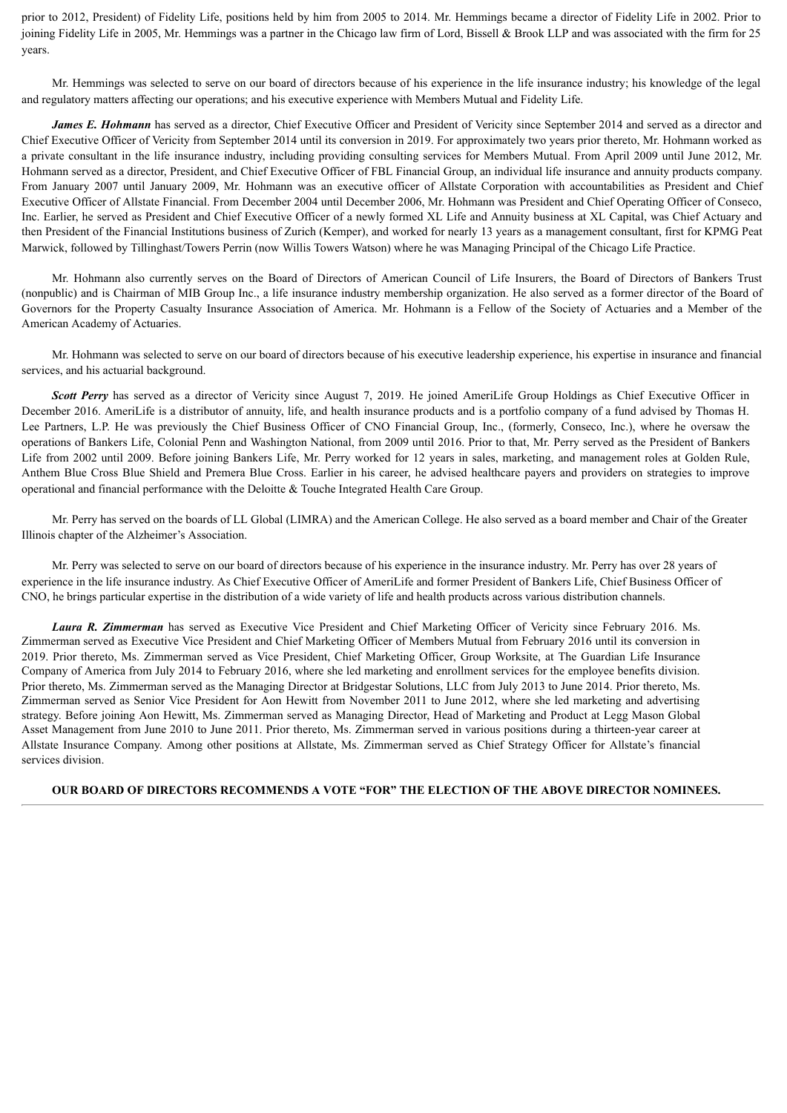prior to 2012, President) of Fidelity Life, positions held by him from 2005 to 2014. Mr. Hemmings became a director of Fidelity Life in 2002. Prior to joining Fidelity Life in 2005, Mr. Hemmings was a partner in the Chicago law firm of Lord, Bissell & Brook LLP and was associated with the firm for 25 years.

Mr. Hemmings was selected to serve on our board of directors because of his experience in the life insurance industry; his knowledge of the legal and regulatory matters affecting our operations; and his executive experience with Members Mutual and Fidelity Life.

*James E. Hohmann* has served as a director, Chief Executive Officer and President of Vericity since September 2014 and served as a director and Chief Executive Officer of Vericity from September 2014 until its conversion in 2019. For approximately two years prior thereto, Mr. Hohmann worked as a private consultant in the life insurance industry, including providing consulting services for Members Mutual. From April 2009 until June 2012, Mr. Hohmann served as a director, President, and Chief Executive Officer of FBL Financial Group, an individual life insurance and annuity products company. From January 2007 until January 2009, Mr. Hohmann was an executive officer of Allstate Corporation with accountabilities as President and Chief Executive Officer of Allstate Financial. From December 2004 until December 2006, Mr. Hohmann was President and Chief Operating Officer of Conseco, Inc. Earlier, he served as President and Chief Executive Officer of a newly formed XL Life and Annuity business at XL Capital, was Chief Actuary and then President of the Financial Institutions business of Zurich (Kemper), and worked for nearly 13 years as a management consultant, first for KPMG Peat Marwick, followed by Tillinghast/Towers Perrin (now Willis Towers Watson) where he was Managing Principal of the Chicago Life Practice.

Mr. Hohmann also currently serves on the Board of Directors of American Council of Life Insurers, the Board of Directors of Bankers Trust (nonpublic) and is Chairman of MIB Group Inc., a life insurance industry membership organization. He also served as a former director of the Board of Governors for the Property Casualty Insurance Association of America. Mr. Hohmann is a Fellow of the Society of Actuaries and a Member of the American Academy of Actuaries.

Mr. Hohmann was selected to serve on our board of directors because of his executive leadership experience, his expertise in insurance and financial services, and his actuarial background.

*Scott Perry* has served as a director of Vericity since August 7, 2019. He joined AmeriLife Group Holdings as Chief Executive Officer in December 2016. AmeriLife is a distributor of annuity, life, and health insurance products and is a portfolio company of a fund advised by Thomas H. Lee Partners, L.P. He was previously the Chief Business Officer of CNO Financial Group, Inc., (formerly, Conseco, Inc.), where he oversaw the operations of Bankers Life, Colonial Penn and Washington National, from 2009 until 2016. Prior to that, Mr. Perry served as the President of Bankers Life from 2002 until 2009. Before joining Bankers Life, Mr. Perry worked for 12 years in sales, marketing, and management roles at Golden Rule, Anthem Blue Cross Blue Shield and Premera Blue Cross. Earlier in his career, he advised healthcare payers and providers on strategies to improve operational and financial performance with the Deloitte & Touche Integrated Health Care Group.

Mr. Perry has served on the boards of LL Global (LIMRA) and the American College. He also served as a board member and Chair of the Greater Illinois chapter of the Alzheimer's Association.

Mr. Perry was selected to serve on our board of directors because of his experience in the insurance industry. Mr. Perry has over 28 years of experience in the life insurance industry. As Chief Executive Officer of AmeriLife and former President of Bankers Life, Chief Business Officer of CNO, he brings particular expertise in the distribution of a wide variety of life and health products across various distribution channels.

*Laura R. Zimmerman* has served as Executive Vice President and Chief Marketing Officer of Vericity since February 2016. Ms. Zimmerman served as Executive Vice President and Chief Marketing Officer of Members Mutual from February 2016 until its conversion in 2019. Prior thereto, Ms. Zimmerman served as Vice President, Chief Marketing Officer, Group Worksite, at The Guardian Life Insurance Company of America from July 2014 to February 2016, where she led marketing and enrollment services for the employee benefits division. Prior thereto, Ms. Zimmerman served as the Managing Director at Bridgestar Solutions, LLC from July 2013 to June 2014. Prior thereto, Ms. Zimmerman served as Senior Vice President for Aon Hewitt from November 2011 to June 2012, where she led marketing and advertising strategy. Before joining Aon Hewitt, Ms. Zimmerman served as Managing Director, Head of Marketing and Product at Legg Mason Global Asset Management from June 2010 to June 2011. Prior thereto, Ms. Zimmerman served in various positions during a thirteen-year career at Allstate Insurance Company. Among other positions at Allstate, Ms. Zimmerman served as Chief Strategy Officer for Allstate's financial services division.

### **OUR BOARD OF DIRECTORS RECOMMENDS A VOTE "FOR" THE ELECTION OF THE ABOVE DIRECTOR NOMINEES.**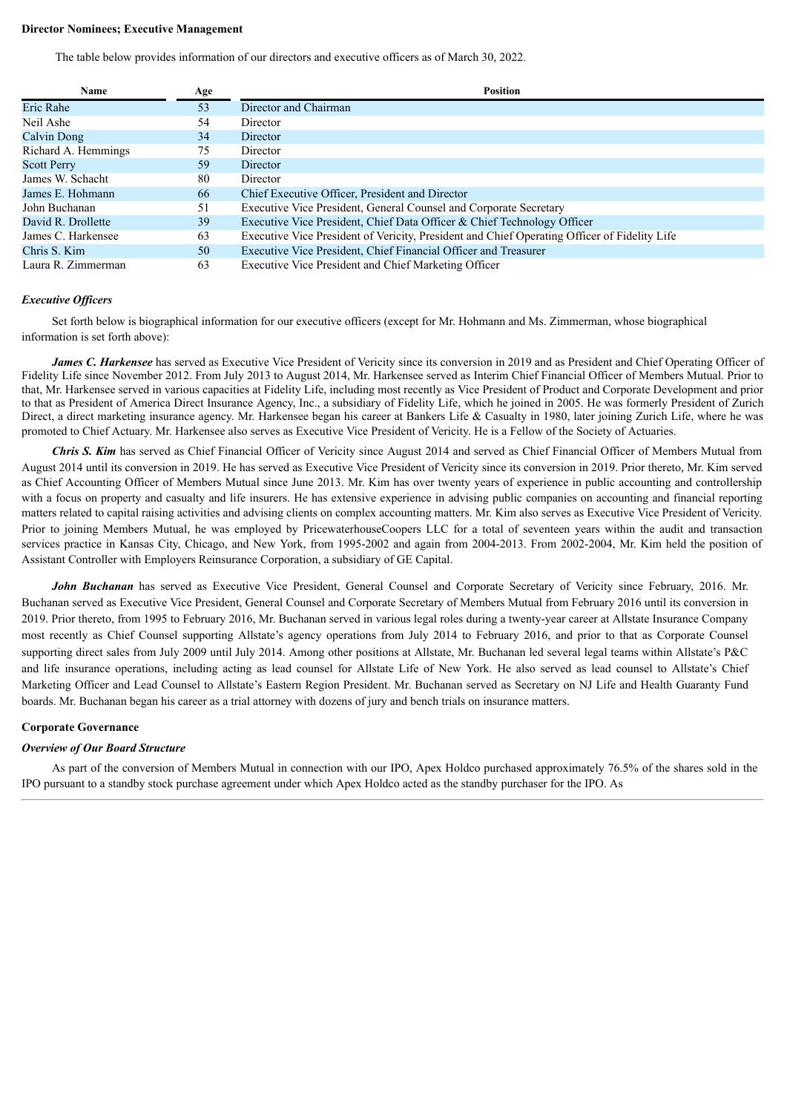#### **Director Nominees; Executive Management**

The table below provides information of our directors and executive officers as of March 30, 2022.

| Name                | Age | <b>Position</b>                                                                              |
|---------------------|-----|----------------------------------------------------------------------------------------------|
| Eric Rahe           | 53  | Director and Chairman                                                                        |
| Neil Ashe           | 54  | Director                                                                                     |
| Calvin Dong         | 34  | Director                                                                                     |
| Richard A. Hemmings | 75  | Director                                                                                     |
| <b>Scott Perry</b>  | 59  | <b>Director</b>                                                                              |
| James W. Schacht    | 80  | Director                                                                                     |
| James E. Hohmann    | 66  | Chief Executive Officer, President and Director                                              |
| John Buchanan       | 51  | Executive Vice President, General Counsel and Corporate Secretary                            |
| David R. Drollette  | 39  | Executive Vice President, Chief Data Officer & Chief Technology Officer                      |
| James C. Harkensee  | 63  | Executive Vice President of Vericity, President and Chief Operating Officer of Fidelity Life |
| Chris S. Kim        | 50  | Executive Vice President, Chief Financial Officer and Treasurer                              |
| Laura R. Zimmerman  | 63  | Executive Vice President and Chief Marketing Officer                                         |

#### *Executive Of icers*

Set forth below is biographical information for our executive officers (except for Mr. Hohmann and Ms. Zimmerman, whose biographical information is set forth above):

*James C. Harkensee* has served as Executive Vice President of Vericity since its conversion in 2019 and as President and Chief Operating Officer of Fidelity Life since November 2012. From July 2013 to August 2014, Mr. Harkensee served as Interim Chief Financial Officer of Members Mutual. Prior to that, Mr. Harkensee served in various capacities at Fidelity Life, including most recently as Vice President of Product and Corporate Development and prior to that as President of America Direct Insurance Agency, Inc., a subsidiary of Fidelity Life, which he joined in 2005. He was formerly President of Zurich Direct, a direct marketing insurance agency. Mr. Harkensee began his career at Bankers Life & Casualty in 1980, later joining Zurich Life, where he was promoted to Chief Actuary. Mr. Harkensee also serves as Executive Vice President of Vericity. He is a Fellow of the Society of Actuaries.

*Chris S. Kim* has served as Chief Financial Officer of Vericity since August 2014 and served as Chief Financial Officer of Members Mutual from August 2014 until its conversion in 2019. He has served as Executive Vice President of Vericity since its conversion in 2019. Prior thereto, Mr. Kim served as Chief Accounting Officer of Members Mutual since June 2013. Mr. Kim has over twenty years of experience in public accounting and controllership with a focus on property and casualty and life insurers. He has extensive experience in advising public companies on accounting and financial reporting matters related to capital raising activities and advising clients on complex accounting matters. Mr. Kim also serves as Executive Vice President of Vericity. Prior to joining Members Mutual, he was employed by PricewaterhouseCoopers LLC for a total of seventeen years within the audit and transaction services practice in Kansas City, Chicago, and New York, from 1995-2002 and again from 2004-2013. From 2002-2004, Mr. Kim held the position of Assistant Controller with Employers Reinsurance Corporation, a subsidiary of GE Capital.

*John Buchanan* has served as Executive Vice President, General Counsel and Corporate Secretary of Vericity since February, 2016. Mr. Buchanan served as Executive Vice President, General Counsel and Corporate Secretary of Members Mutual from February 2016 until its conversion in 2019. Prior thereto, from 1995 to February 2016, Mr. Buchanan served in various legal roles during a twenty-year career at Allstate Insurance Company most recently as Chief Counsel supporting Allstate's agency operations from July 2014 to February 2016, and prior to that as Corporate Counsel supporting direct sales from July 2009 until July 2014. Among other positions at Allstate, Mr. Buchanan led several legal teams within Allstate's P&C and life insurance operations, including acting as lead counsel for Allstate Life of New York. He also served as lead counsel to Allstate's Chief Marketing Officer and Lead Counsel to Allstate's Eastern Region President. Mr. Buchanan served as Secretary on NJ Life and Health Guaranty Fund boards. Mr. Buchanan began his career as a trial attorney with dozens of jury and bench trials on insurance matters.

#### **Corporate Governance**

#### *Overview of Our Board Structure*

As part of the conversion of Members Mutual in connection with our IPO, Apex Holdco purchased approximately 76.5% of the shares sold in the IPO pursuant to a standby stock purchase agreement under which Apex Holdco acted as the standby purchaser for the IPO. As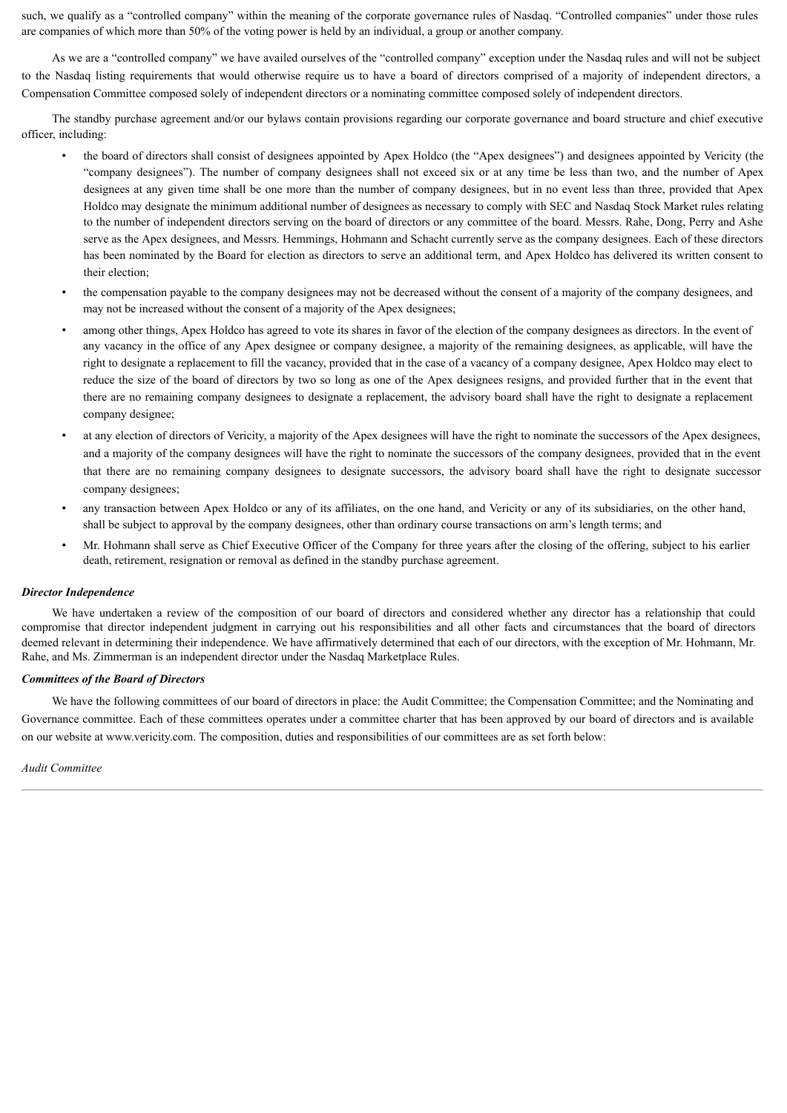such, we qualify as a "controlled company" within the meaning of the corporate governance rules of Nasdaq. "Controlled companies" under those rules are companies of which more than 50% of the voting power is held by an individual, a group or another company.

As we are a "controlled company" we have availed ourselves of the "controlled company" exception under the Nasdaq rules and will not be subject to the Nasdaq listing requirements that would otherwise require us to have a board of directors comprised of a majority of independent directors, a Compensation Committee composed solely of independent directors or a nominating committee composed solely of independent directors.

The standby purchase agreement and/or our bylaws contain provisions regarding our corporate governance and board structure and chief executive officer, including:

- the board of directors shall consist of designees appointed by Apex Holdco (the "Apex designees") and designees appointed by Vericity (the "company designees"). The number of company designees shall not exceed six or at any time be less than two, and the number of Apex designees at any given time shall be one more than the number of company designees, but in no event less than three, provided that Apex Holdco may designate the minimum additional number of designees as necessary to comply with SEC and Nasdaq Stock Market rules relating to the number of independent directors serving on the board of directors or any committee of the board. Messrs. Rahe, Dong, Perry and Ashe serve as the Apex designees, and Messrs. Hemmings, Hohmann and Schacht currently serve as the company designees. Each of these directors has been nominated by the Board for election as directors to serve an additional term, and Apex Holdco has delivered its written consent to their election;
- the compensation payable to the company designees may not be decreased without the consent of a majority of the company designees, and may not be increased without the consent of a majority of the Apex designees;
- among other things, Apex Holdco has agreed to vote its shares in favor of the election of the company designees as directors. In the event of any vacancy in the office of any Apex designee or company designee, a majority of the remaining designees, as applicable, will have the right to designate a replacement to fill the vacancy, provided that in the case of a vacancy of a company designee, Apex Holdco may elect to reduce the size of the board of directors by two so long as one of the Apex designees resigns, and provided further that in the event that there are no remaining company designees to designate a replacement, the advisory board shall have the right to designate a replacement company designee;
- at any election of directors of Vericity, a majority of the Apex designees will have the right to nominate the successors of the Apex designees, and a majority of the company designees will have the right to nominate the successors of the company designees, provided that in the event that there are no remaining company designees to designate successors, the advisory board shall have the right to designate successor company designees;
- any transaction between Apex Holdco or any of its affiliates, on the one hand, and Vericity or any of its subsidiaries, on the other hand, shall be subject to approval by the company designees, other than ordinary course transactions on arm's length terms; and
- Mr. Hohmann shall serve as Chief Executive Officer of the Company for three years after the closing of the offering, subject to his earlier death, retirement, resignation or removal as defined in the standby purchase agreement.

### *Director Independence*

We have undertaken a review of the composition of our board of directors and considered whether any director has a relationship that could compromise that director independent judgment in carrying out his responsibilities and all other facts and circumstances that the board of directors deemed relevant in determining their independence. We have affirmatively determined that each of our directors, with the exception of Mr. Hohmann, Mr. Rahe, and Ms. Zimmerman is an independent director under the Nasdaq Marketplace Rules.

#### *Committees of the Board of Directors*

We have the following committees of our board of directors in place: the Audit Committee; the Compensation Committee; and the Nominating and Governance committee. Each of these committees operates under a committee charter that has been approved by our board of directors and is available on our website at www.vericity.com. The composition, duties and responsibilities of our committees are as set forth below:

*Audit Committee*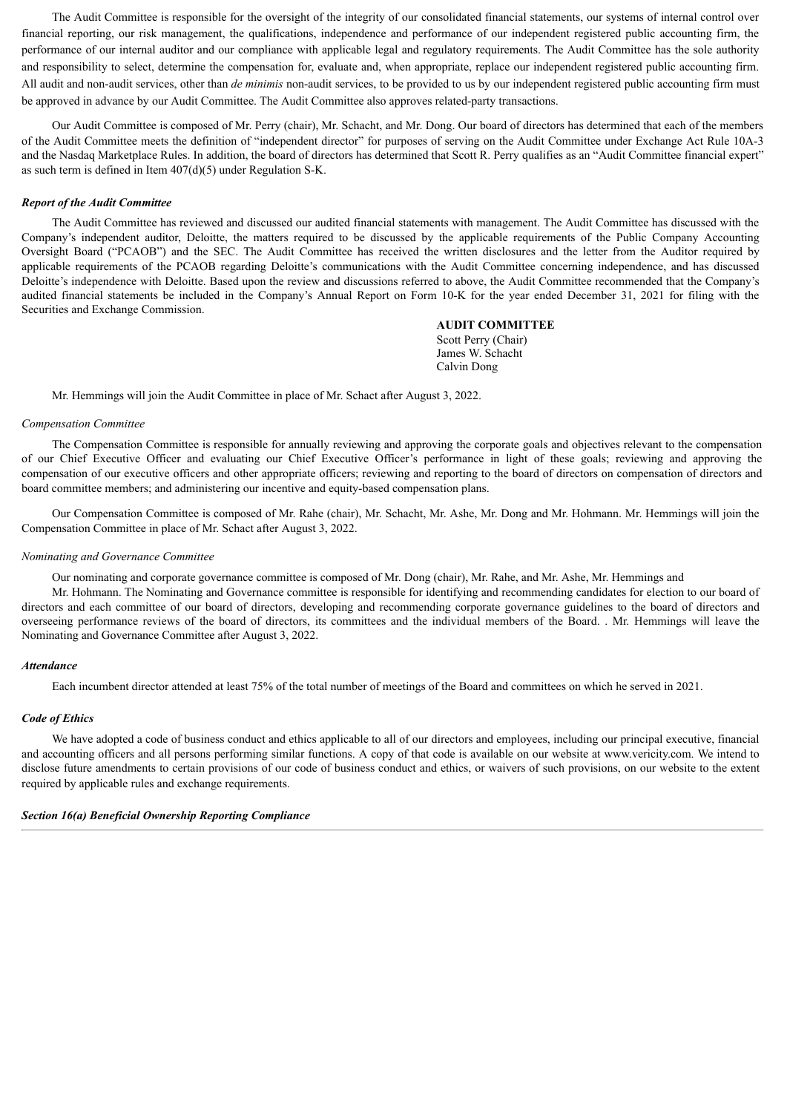The Audit Committee is responsible for the oversight of the integrity of our consolidated financial statements, our systems of internal control over financial reporting, our risk management, the qualifications, independence and performance of our independent registered public accounting firm, the performance of our internal auditor and our compliance with applicable legal and regulatory requirements. The Audit Committee has the sole authority and responsibility to select, determine the compensation for, evaluate and, when appropriate, replace our independent registered public accounting firm. All audit and non-audit services, other than *de minimis* non-audit services, to be provided to us by our independent registered public accounting firm must be approved in advance by our Audit Committee. The Audit Committee also approves related-party transactions.

Our Audit Committee is composed of Mr. Perry (chair), Mr. Schacht, and Mr. Dong. Our board of directors has determined that each of the members of the Audit Committee meets the definition of "independent director" for purposes of serving on the Audit Committee under Exchange Act Rule 10A-3 and the Nasdaq Marketplace Rules. In addition, the board of directors has determined that Scott R. Perry qualifies as an "Audit Committee financial expert" as such term is defined in Item 407(d)(5) under Regulation S-K.

#### *Report of the Audit Committee*

The Audit Committee has reviewed and discussed our audited financial statements with management. The Audit Committee has discussed with the Company's independent auditor, Deloitte, the matters required to be discussed by the applicable requirements of the Public Company Accounting Oversight Board ("PCAOB") and the SEC. The Audit Committee has received the written disclosures and the letter from the Auditor required by applicable requirements of the PCAOB regarding Deloitte's communications with the Audit Committee concerning independence, and has discussed Deloitte's independence with Deloitte. Based upon the review and discussions referred to above, the Audit Committee recommended that the Company's audited financial statements be included in the Company's Annual Report on Form 10-K for the year ended December 31, 2021 for filing with the Securities and Exchange Commission.

> **AUDIT COMMITTEE** Scott Perry (Chair) James W. Schacht Calvin Dong

Mr. Hemmings will join the Audit Committee in place of Mr. Schact after August 3, 2022.

#### *Compensation Committee*

The Compensation Committee is responsible for annually reviewing and approving the corporate goals and objectives relevant to the compensation of our Chief Executive Officer and evaluating our Chief Executive Officer's performance in light of these goals; reviewing and approving the compensation of our executive officers and other appropriate officers; reviewing and reporting to the board of directors on compensation of directors and board committee members; and administering our incentive and equity-based compensation plans.

Our Compensation Committee is composed of Mr. Rahe (chair), Mr. Schacht, Mr. Ashe, Mr. Dong and Mr. Hohmann. Mr. Hemmings will join the Compensation Committee in place of Mr. Schact after August 3, 2022.

### *Nominating and Governance Committee*

Our nominating and corporate governance committee is composed of Mr. Dong (chair), Mr. Rahe, and Mr. Ashe, Mr. Hemmings and

Mr. Hohmann. The Nominating and Governance committee is responsible for identifying and recommending candidates for election to our board of directors and each committee of our board of directors, developing and recommending corporate governance guidelines to the board of directors and overseeing performance reviews of the board of directors, its committees and the individual members of the Board. . Mr. Hemmings will leave the Nominating and Governance Committee after August 3, 2022.

#### *Attendance*

Each incumbent director attended at least 75% of the total number of meetings of the Board and committees on which he served in 2021.

#### *Code of Ethics*

We have adopted a code of business conduct and ethics applicable to all of our directors and employees, including our principal executive, financial and accounting officers and all persons performing similar functions. A copy of that code is available on our website at www.vericity.com. We intend to disclose future amendments to certain provisions of our code of business conduct and ethics, or waivers of such provisions, on our website to the extent required by applicable rules and exchange requirements.

### *Section 16(a) Beneficial Ownership Reporting Compliance*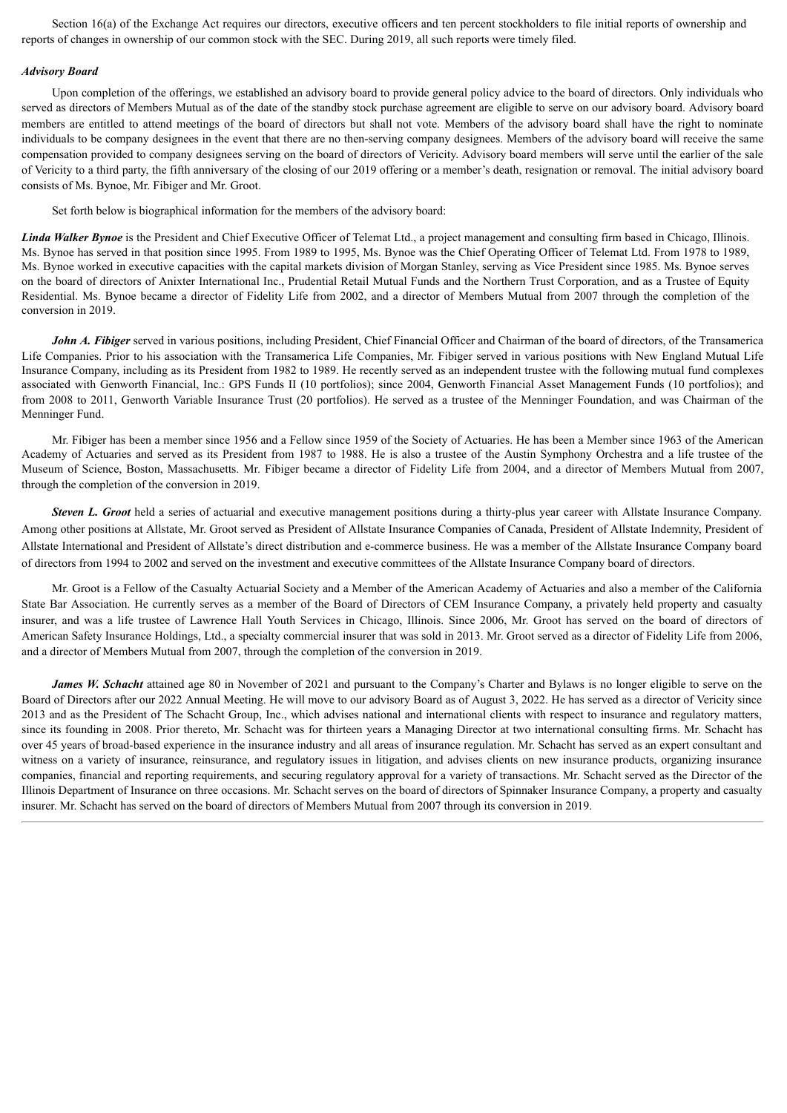Section 16(a) of the Exchange Act requires our directors, executive officers and ten percent stockholders to file initial reports of ownership and reports of changes in ownership of our common stock with the SEC. During 2019, all such reports were timely filed.

#### *Advisory Board*

Upon completion of the offerings, we established an advisory board to provide general policy advice to the board of directors. Only individuals who served as directors of Members Mutual as of the date of the standby stock purchase agreement are eligible to serve on our advisory board. Advisory board members are entitled to attend meetings of the board of directors but shall not vote. Members of the advisory board shall have the right to nominate individuals to be company designees in the event that there are no then-serving company designees. Members of the advisory board will receive the same compensation provided to company designees serving on the board of directors of Vericity. Advisory board members will serve until the earlier of the sale of Vericity to a third party, the fifth anniversary of the closing of our 2019 offering or a member's death, resignation or removal. The initial advisory board consists of Ms. Bynoe, Mr. Fibiger and Mr. Groot.

Set forth below is biographical information for the members of the advisory board:

*Linda Walker Bynoe* is the President and Chief Executive Officer of Telemat Ltd., a project management and consulting firm based in Chicago, Illinois. Ms. Bynoe has served in that position since 1995. From 1989 to 1995, Ms. Bynoe was the Chief Operating Officer of Telemat Ltd. From 1978 to 1989, Ms. Bynoe worked in executive capacities with the capital markets division of Morgan Stanley, serving as Vice President since 1985. Ms. Bynoe serves on the board of directors of Anixter International Inc., Prudential Retail Mutual Funds and the Northern Trust Corporation, and as a Trustee of Equity Residential. Ms. Bynoe became a director of Fidelity Life from 2002, and a director of Members Mutual from 2007 through the completion of the conversion in 2019.

*John A. Fibiger* served in various positions, including President, Chief Financial Officer and Chairman of the board of directors, of the Transamerica Life Companies. Prior to his association with the Transamerica Life Companies, Mr. Fibiger served in various positions with New England Mutual Life Insurance Company, including as its President from 1982 to 1989. He recently served as an independent trustee with the following mutual fund complexes associated with Genworth Financial, Inc.: GPS Funds II (10 portfolios); since 2004, Genworth Financial Asset Management Funds (10 portfolios); and from 2008 to 2011, Genworth Variable Insurance Trust (20 portfolios). He served as a trustee of the Menninger Foundation, and was Chairman of the Menninger Fund.

Mr. Fibiger has been a member since 1956 and a Fellow since 1959 of the Society of Actuaries. He has been a Member since 1963 of the American Academy of Actuaries and served as its President from 1987 to 1988. He is also a trustee of the Austin Symphony Orchestra and a life trustee of the Museum of Science, Boston, Massachusetts. Mr. Fibiger became a director of Fidelity Life from 2004, and a director of Members Mutual from 2007, through the completion of the conversion in 2019.

*Steven L. Groot* held a series of actuarial and executive management positions during a thirty-plus year career with Allstate Insurance Company. Among other positions at Allstate, Mr. Groot served as President of Allstate Insurance Companies of Canada, President of Allstate Indemnity, President of Allstate International and President of Allstate's direct distribution and e-commerce business. He was a member of the Allstate Insurance Company board of directors from 1994 to 2002 and served on the investment and executive committees of the Allstate Insurance Company board of directors.

Mr. Groot is a Fellow of the Casualty Actuarial Society and a Member of the American Academy of Actuaries and also a member of the California State Bar Association. He currently serves as a member of the Board of Directors of CEM Insurance Company, a privately held property and casualty insurer, and was a life trustee of Lawrence Hall Youth Services in Chicago, Illinois. Since 2006, Mr. Groot has served on the board of directors of American Safety Insurance Holdings, Ltd., a specialty commercial insurer that was sold in 2013. Mr. Groot served as a director of Fidelity Life from 2006, and a director of Members Mutual from 2007, through the completion of the conversion in 2019.

*James W. Schacht* attained age 80 in November of 2021 and pursuant to the Company's Charter and Bylaws is no longer eligible to serve on the Board of Directors after our 2022 Annual Meeting. He will move to our advisory Board as of August 3, 2022. He has served as a director of Vericity since 2013 and as the President of The Schacht Group, Inc., which advises national and international clients with respect to insurance and regulatory matters, since its founding in 2008. Prior thereto, Mr. Schacht was for thirteen years a Managing Director at two international consulting firms. Mr. Schacht has over 45 years of broad-based experience in the insurance industry and all areas of insurance regulation. Mr. Schacht has served as an expert consultant and witness on a variety of insurance, reinsurance, and regulatory issues in litigation, and advises clients on new insurance products, organizing insurance companies, financial and reporting requirements, and securing regulatory approval for a variety of transactions. Mr. Schacht served as the Director of the Illinois Department of Insurance on three occasions. Mr. Schacht serves on the board of directors of Spinnaker Insurance Company, a property and casualty insurer. Mr. Schacht has served on the board of directors of Members Mutual from 2007 through its conversion in 2019.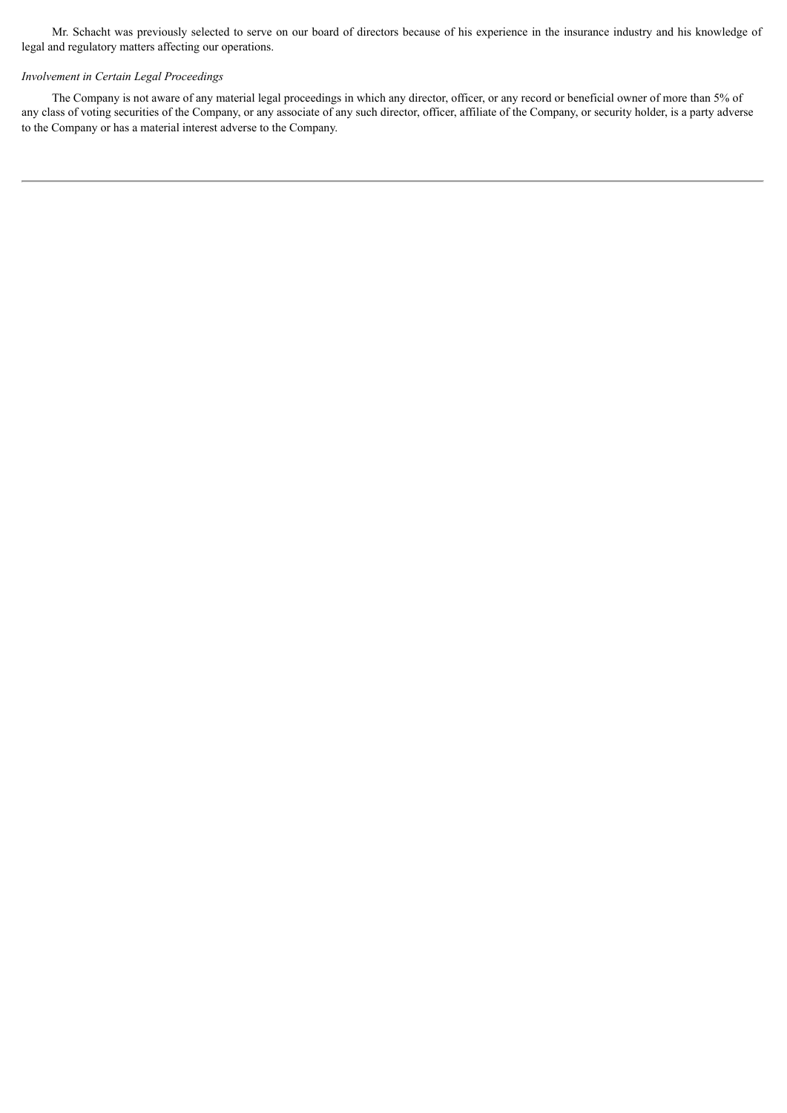Mr. Schacht was previously selected to serve on our board of directors because of his experience in the insurance industry and his knowledge of legal and regulatory matters affecting our operations.

### *Involvement in Certain Legal Proceedings*

The Company is not aware of any material legal proceedings in which any director, officer, or any record or beneficial owner of more than 5% of any class of voting securities of the Company, or any associate of any such director, officer, affiliate of the Company, or security holder, is a party adverse to the Company or has a material interest adverse to the Company.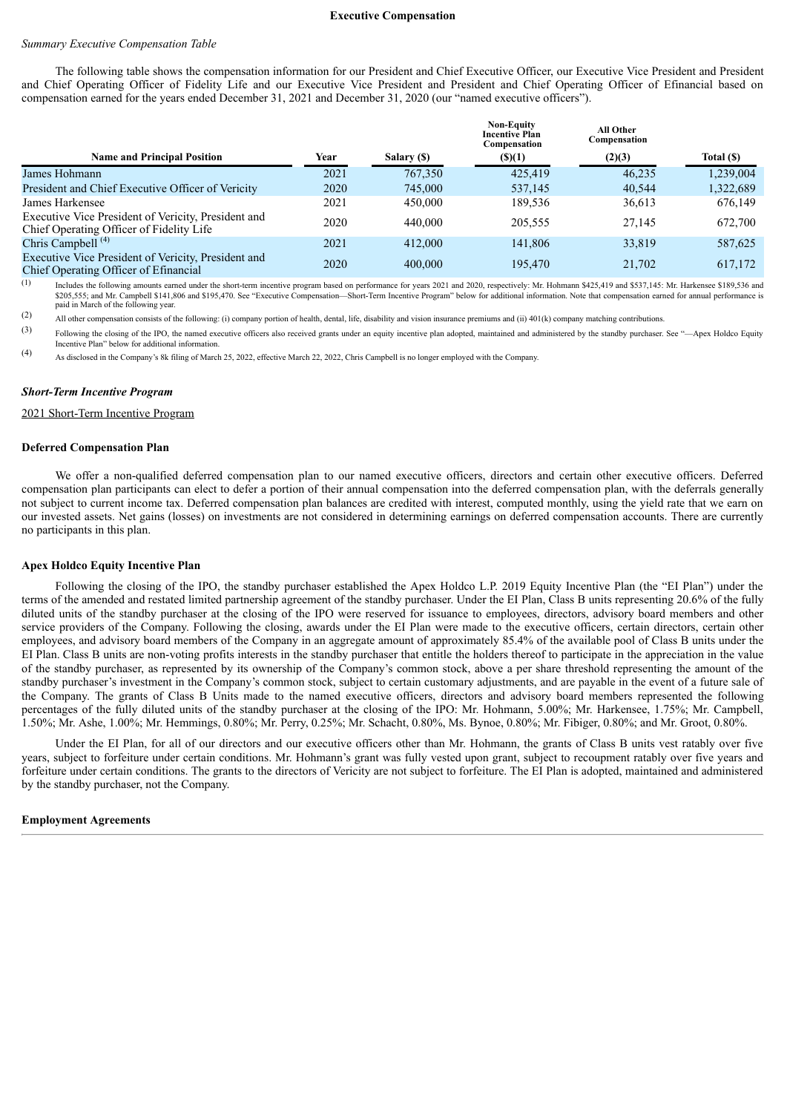#### **Executive Compensation**

#### *Summary Executive Compensation Table*

The following table shows the compensation information for our President and Chief Executive Officer, our Executive Vice President and President and Chief Operating Officer of Fidelity Life and our Executive Vice President and President and Chief Operating Officer of Efinancial based on compensation earned for the years ended December 31, 2021 and December 31, 2020 (our "named executive officers").

|                                                                                                 |      |             | <b>Non-Equity</b><br><b>Incentive Plan</b><br>Compensation | All Other<br>Compensation |            |
|-------------------------------------------------------------------------------------------------|------|-------------|------------------------------------------------------------|---------------------------|------------|
| <b>Name and Principal Position</b>                                                              | Year | Salary (\$) | $($ (\$)(1)                                                | (2)(3)                    | Total (\$) |
| James Hohmann                                                                                   | 2021 | 767.350     | 425,419                                                    | 46.235                    | 1,239,004  |
| President and Chief Executive Officer of Vericity                                               | 2020 | 745,000     | 537,145                                                    | 40.544                    | 1,322,689  |
| James Harkensee                                                                                 | 2021 | 450,000     | 189,536                                                    | 36,613                    | 676,149    |
| Executive Vice President of Vericity, President and<br>Chief Operating Officer of Fidelity Life | 2020 | 440,000     | 205.555                                                    | 27.145                    | 672,700    |
| Chris Campbell <sup>(4)</sup>                                                                   | 2021 | 412,000     | 141,806                                                    | 33,819                    | 587,625    |
| Executive Vice President of Vericity, President and<br>Chief Operating Officer of Efinancial    | 2020 | 400,000     | 195,470                                                    | 21.702                    | 617.172    |

Chief Operating Officer of Efinancial

Includes the following amounts earned under the short-term incentive program based on performance for years 2021 and 2020, respectively: Mr. Hohmann \$425,419 and \$537,145: Mr. Harkensee \$189,536 and \$205,555; and Mr. Campbell \$141,806 and \$195,470. See "Executive Compensation—Short-Term Incentive Program" below for additional information. Note that compensation earned for annual performance is paid in March of the following year.  $(1)$ 

All other compensation consists of the following: (i) company portion of health, dental, life, disability and vision insurance premiums and (ii) 401(k) company matching contributions. (2)

Following the closing of the IPO, the named executive officers also received grants under an equity incentive plan adopted, maintained and administered by the standby purchaser. See "--Apex Holdco Equity Incentive Plan" below for additional information. (3)

As disclosed in the Company's 8k filing of March 25, 2022, effective March 22, 2022, Chris Campbell is no longer employed with the Company. (4)

#### *Short-Term Incentive Program*

#### 2021 Short-Term Incentive Program

#### **Deferred Compensation Plan**

We offer a non-qualified deferred compensation plan to our named executive officers, directors and certain other executive officers. Deferred compensation plan participants can elect to defer a portion of their annual compensation into the deferred compensation plan, with the deferrals generally not subject to current income tax. Deferred compensation plan balances are credited with interest, computed monthly, using the yield rate that we earn on our invested assets. Net gains (losses) on investments are not considered in determining earnings on deferred compensation accounts. There are currently no participants in this plan.

#### **Apex Holdco Equity Incentive Plan**

Following the closing of the IPO, the standby purchaser established the Apex Holdco L.P. 2019 Equity Incentive Plan (the "EI Plan") under the terms of the amended and restated limited partnership agreement of the standby purchaser. Under the EI Plan, Class B units representing 20.6% of the fully diluted units of the standby purchaser at the closing of the IPO were reserved for issuance to employees, directors, advisory board members and other service providers of the Company. Following the closing, awards under the EI Plan were made to the executive officers, certain directors, certain other employees, and advisory board members of the Company in an aggregate amount of approximately 85.4% of the available pool of Class B units under the EI Plan. Class B units are non-voting profits interests in the standby purchaser that entitle the holders thereof to participate in the appreciation in the value of the standby purchaser, as represented by its ownership of the Company's common stock, above a per share threshold representing the amount of the standby purchaser's investment in the Company's common stock, subject to certain customary adjustments, and are payable in the event of a future sale of the Company. The grants of Class B Units made to the named executive officers, directors and advisory board members represented the following percentages of the fully diluted units of the standby purchaser at the closing of the IPO: Mr. Hohmann, 5.00%; Mr. Harkensee, 1.75%; Mr. Campbell, 1.50%; Mr. Ashe, 1.00%; Mr. Hemmings, 0.80%; Mr. Perry, 0.25%; Mr. Schacht, 0.80%, Ms. Bynoe, 0.80%; Mr. Fibiger, 0.80%; and Mr. Groot, 0.80%.

Under the EI Plan, for all of our directors and our executive officers other than Mr. Hohmann, the grants of Class B units vest ratably over five years, subject to forfeiture under certain conditions. Mr. Hohmann's grant was fully vested upon grant, subject to recoupment ratably over five years and forfeiture under certain conditions. The grants to the directors of Vericity are not subject to forfeiture. The EI Plan is adopted, maintained and administered by the standby purchaser, not the Company.

### **Employment Agreements**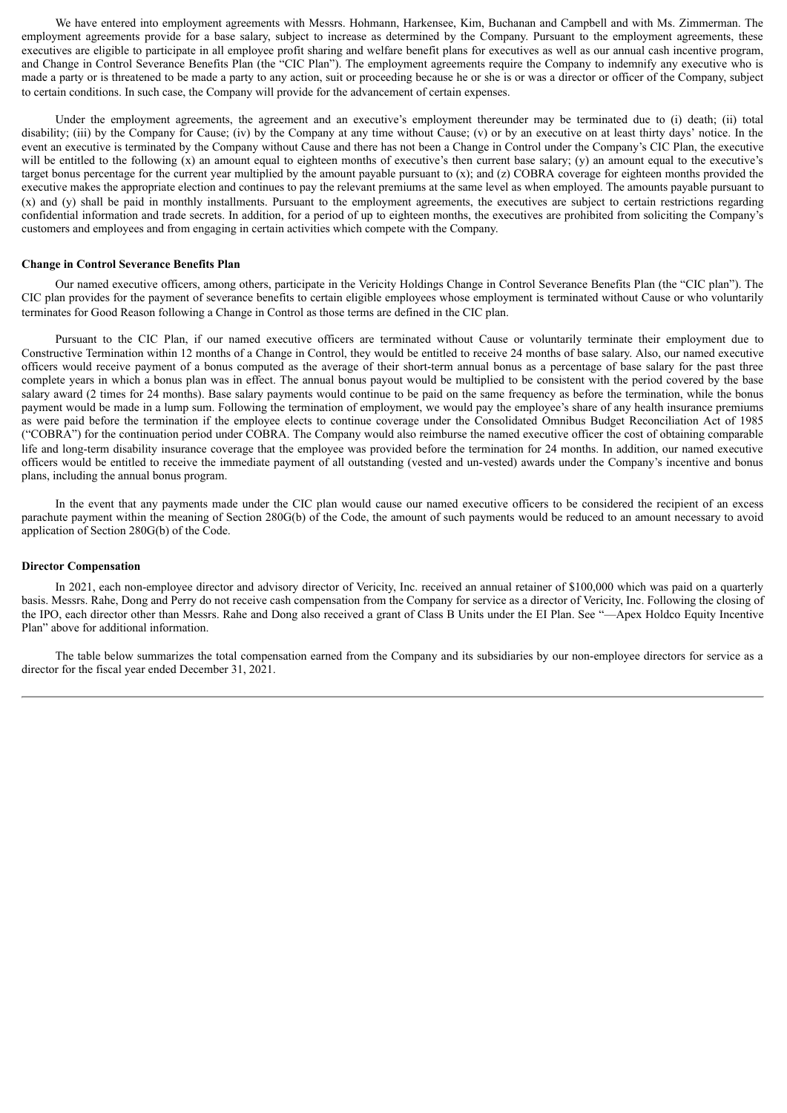We have entered into employment agreements with Messrs. Hohmann, Harkensee, Kim, Buchanan and Campbell and with Ms. Zimmerman. The employment agreements provide for a base salary, subject to increase as determined by the Company. Pursuant to the employment agreements, these executives are eligible to participate in all employee profit sharing and welfare benefit plans for executives as well as our annual cash incentive program, and Change in Control Severance Benefits Plan (the "CIC Plan"). The employment agreements require the Company to indemnify any executive who is made a party or is threatened to be made a party to any action, suit or proceeding because he or she is or was a director or officer of the Company, subject to certain conditions. In such case, the Company will provide for the advancement of certain expenses.

Under the employment agreements, the agreement and an executive's employment thereunder may be terminated due to (i) death; (ii) total disability; (iii) by the Company for Cause; (iv) by the Company at any time without Cause; (v) or by an executive on at least thirty days' notice. In the event an executive is terminated by the Company without Cause and there has not been a Change in Control under the Company's CIC Plan, the executive will be entitled to the following (x) an amount equal to eighteen months of executive's then current base salary; (y) an amount equal to the executive's target bonus percentage for the current year multiplied by the amount payable pursuant to  $(x)$ ; and  $(z)$  COBRA coverage for eighteen months provided the executive makes the appropriate election and continues to pay the relevant premiums at the same level as when employed. The amounts payable pursuant to (x) and (y) shall be paid in monthly installments. Pursuant to the employment agreements, the executives are subject to certain restrictions regarding confidential information and trade secrets. In addition, for a period of up to eighteen months, the executives are prohibited from soliciting the Company's customers and employees and from engaging in certain activities which compete with the Company.

#### **Change in Control Severance Benefits Plan**

Our named executive officers, among others, participate in the Vericity Holdings Change in Control Severance Benefits Plan (the "CIC plan"). The CIC plan provides for the payment of severance benefits to certain eligible employees whose employment is terminated without Cause or who voluntarily terminates for Good Reason following a Change in Control as those terms are defined in the CIC plan.

Pursuant to the CIC Plan, if our named executive officers are terminated without Cause or voluntarily terminate their employment due to Constructive Termination within 12 months of a Change in Control, they would be entitled to receive 24 months of base salary. Also, our named executive officers would receive payment of a bonus computed as the average of their short-term annual bonus as a percentage of base salary for the past three complete years in which a bonus plan was in effect. The annual bonus payout would be multiplied to be consistent with the period covered by the base salary award (2 times for 24 months). Base salary payments would continue to be paid on the same frequency as before the termination, while the bonus payment would be made in a lump sum. Following the termination of employment, we would pay the employee's share of any health insurance premiums as were paid before the termination if the employee elects to continue coverage under the Consolidated Omnibus Budget Reconciliation Act of 1985 ("COBRA") for the continuation period under COBRA. The Company would also reimburse the named executive officer the cost of obtaining comparable life and long-term disability insurance coverage that the employee was provided before the termination for 24 months. In addition, our named executive officers would be entitled to receive the immediate payment of all outstanding (vested and un-vested) awards under the Company's incentive and bonus plans, including the annual bonus program.

In the event that any payments made under the CIC plan would cause our named executive officers to be considered the recipient of an excess parachute payment within the meaning of Section 280G(b) of the Code, the amount of such payments would be reduced to an amount necessary to avoid application of Section 280G(b) of the Code.

#### **Director Compensation**

In 2021, each non-employee director and advisory director of Vericity, Inc. received an annual retainer of \$100,000 which was paid on a quarterly basis. Messrs. Rahe, Dong and Perry do not receive cash compensation from the Company for service as a director of Vericity, Inc. Following the closing of the IPO, each director other than Messrs. Rahe and Dong also received a grant of Class B Units under the EI Plan. See "—Apex Holdco Equity Incentive Plan" above for additional information.

The table below summarizes the total compensation earned from the Company and its subsidiaries by our non-employee directors for service as a director for the fiscal year ended December 31, 2021.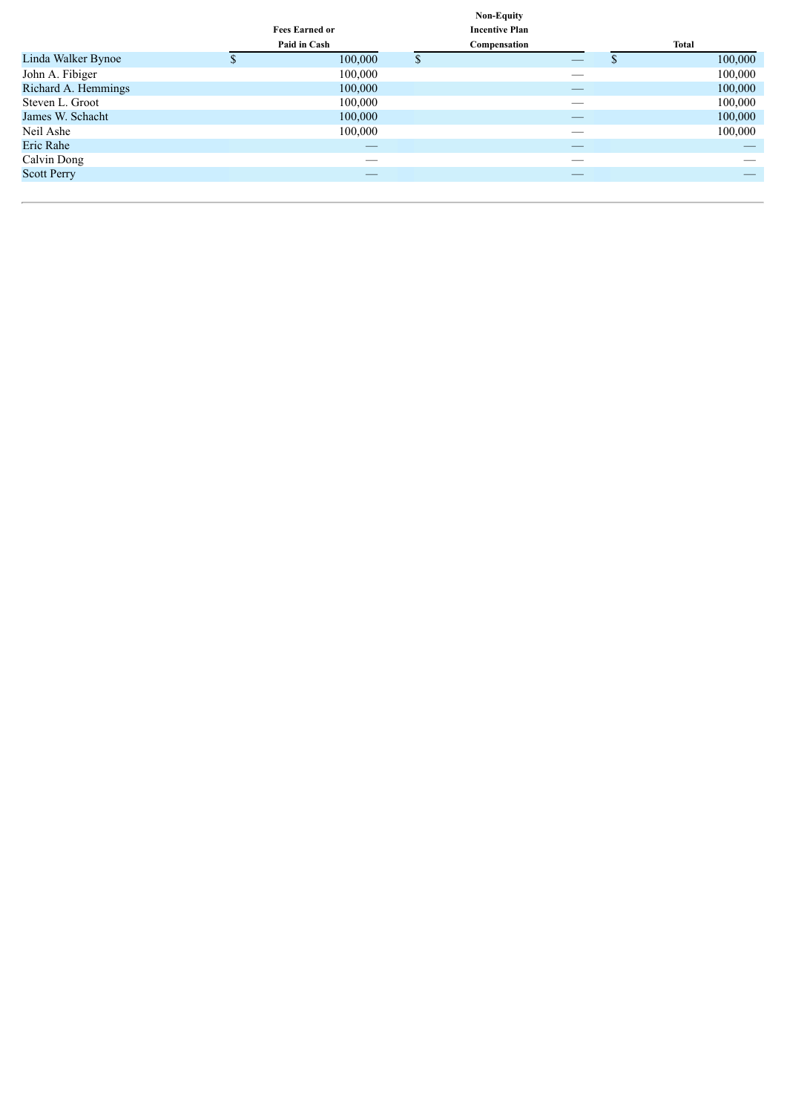|                     |                       |                       | <b>Non-Equity</b> |    |   |              |
|---------------------|-----------------------|-----------------------|-------------------|----|---|--------------|
|                     | <b>Fees Earned or</b> | <b>Incentive Plan</b> |                   |    |   |              |
|                     | Paid in Cash          |                       | Compensation      |    |   | <b>Total</b> |
| Linda Walker Bynoe  | 100,000               | \$                    |                   | __ | S | 100,000      |
| John A. Fibiger     | 100,000               |                       |                   |    |   | 100,000      |
| Richard A. Hemmings | 100,000               |                       |                   |    |   | 100,000      |
| Steven L. Groot     | 100,000               |                       |                   |    |   | 100,000      |
| James W. Schacht    | 100,000               |                       |                   | __ |   | 100,000      |
| Neil Ashe           | 100,000               |                       |                   |    |   | 100,000      |
| Eric Rahe           |                       |                       |                   |    |   |              |
| Calvin Dong         | __                    |                       |                   |    |   |              |
| <b>Scott Perry</b>  |                       |                       |                   |    |   |              |
|                     |                       |                       |                   |    |   |              |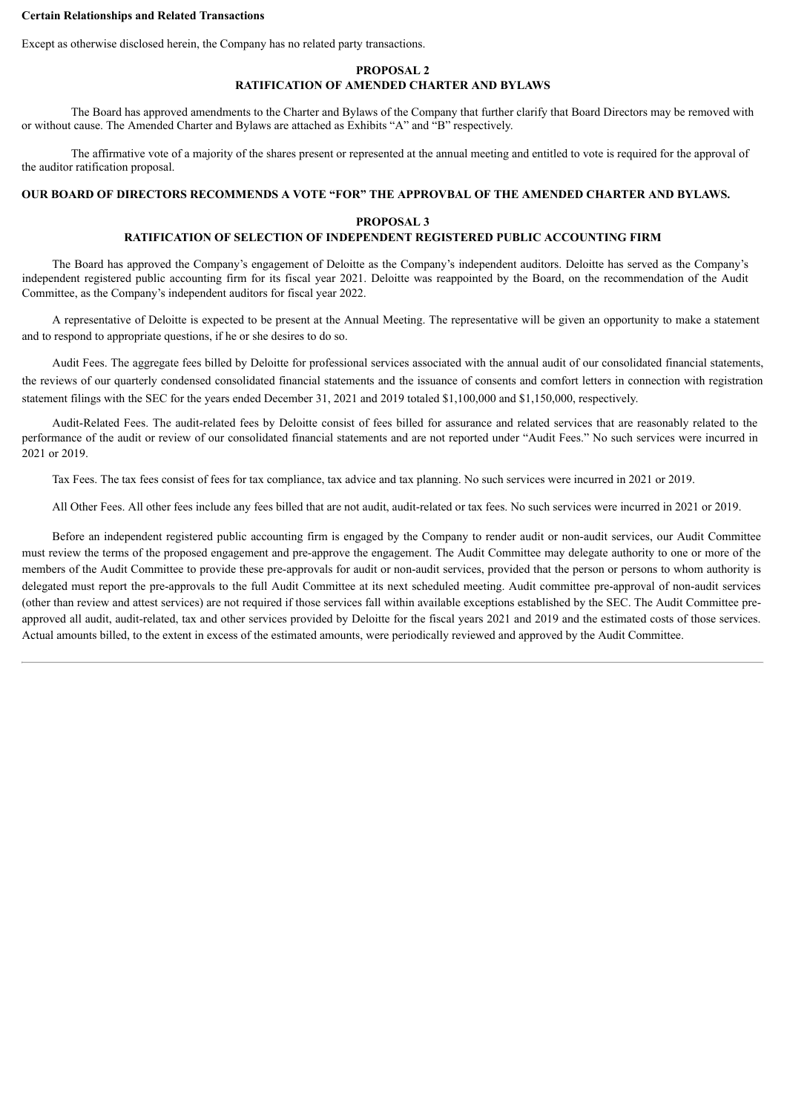### **Certain Relationships and Related Transactions**

Except as otherwise disclosed herein, the Company has no related party transactions.

### **PROPOSAL 2 RATIFICATION OF AMENDED CHARTER AND BYLAWS**

The Board has approved amendments to the Charter and Bylaws of the Company that further clarify that Board Directors may be removed with or without cause. The Amended Charter and Bylaws are attached as Exhibits "A" and "B" respectively.

The affirmative vote of a majority of the shares present or represented at the annual meeting and entitled to vote is required for the approval of the auditor ratification proposal.

### **OUR BOARD OF DIRECTORS RECOMMENDS A VOTE "FOR" THE APPROVBAL OF THE AMENDED CHARTER AND BYLAWS.**

### **PROPOSAL 3**

### **RATIFICATION OF SELECTION OF INDEPENDENT REGISTERED PUBLIC ACCOUNTING FIRM**

The Board has approved the Company's engagement of Deloitte as the Company's independent auditors. Deloitte has served as the Company's independent registered public accounting firm for its fiscal year 2021. Deloitte was reappointed by the Board, on the recommendation of the Audit Committee, as the Company's independent auditors for fiscal year 2022.

A representative of Deloitte is expected to be present at the Annual Meeting. The representative will be given an opportunity to make a statement and to respond to appropriate questions, if he or she desires to do so.

Audit Fees. The aggregate fees billed by Deloitte for professional services associated with the annual audit of our consolidated financial statements, the reviews of our quarterly condensed consolidated financial statements and the issuance of consents and comfort letters in connection with registration statement filings with the SEC for the years ended December 31, 2021 and 2019 totaled \$1,100,000 and \$1,150,000, respectively.

Audit-Related Fees. The audit-related fees by Deloitte consist of fees billed for assurance and related services that are reasonably related to the performance of the audit or review of our consolidated financial statements and are not reported under "Audit Fees." No such services were incurred in 2021 or 2019.

Tax Fees. The tax fees consist of fees for tax compliance, tax advice and tax planning. No such services were incurred in 2021 or 2019.

All Other Fees. All other fees include any fees billed that are not audit, audit-related or tax fees. No such services were incurred in 2021 or 2019.

Before an independent registered public accounting firm is engaged by the Company to render audit or non-audit services, our Audit Committee must review the terms of the proposed engagement and pre-approve the engagement. The Audit Committee may delegate authority to one or more of the members of the Audit Committee to provide these pre-approvals for audit or non-audit services, provided that the person or persons to whom authority is delegated must report the pre-approvals to the full Audit Committee at its next scheduled meeting. Audit committee pre-approval of non-audit services (other than review and attest services) are not required if those services fall within available exceptions established by the SEC. The Audit Committee preapproved all audit, audit-related, tax and other services provided by Deloitte for the fiscal years 2021 and 2019 and the estimated costs of those services. Actual amounts billed, to the extent in excess of the estimated amounts, were periodically reviewed and approved by the Audit Committee.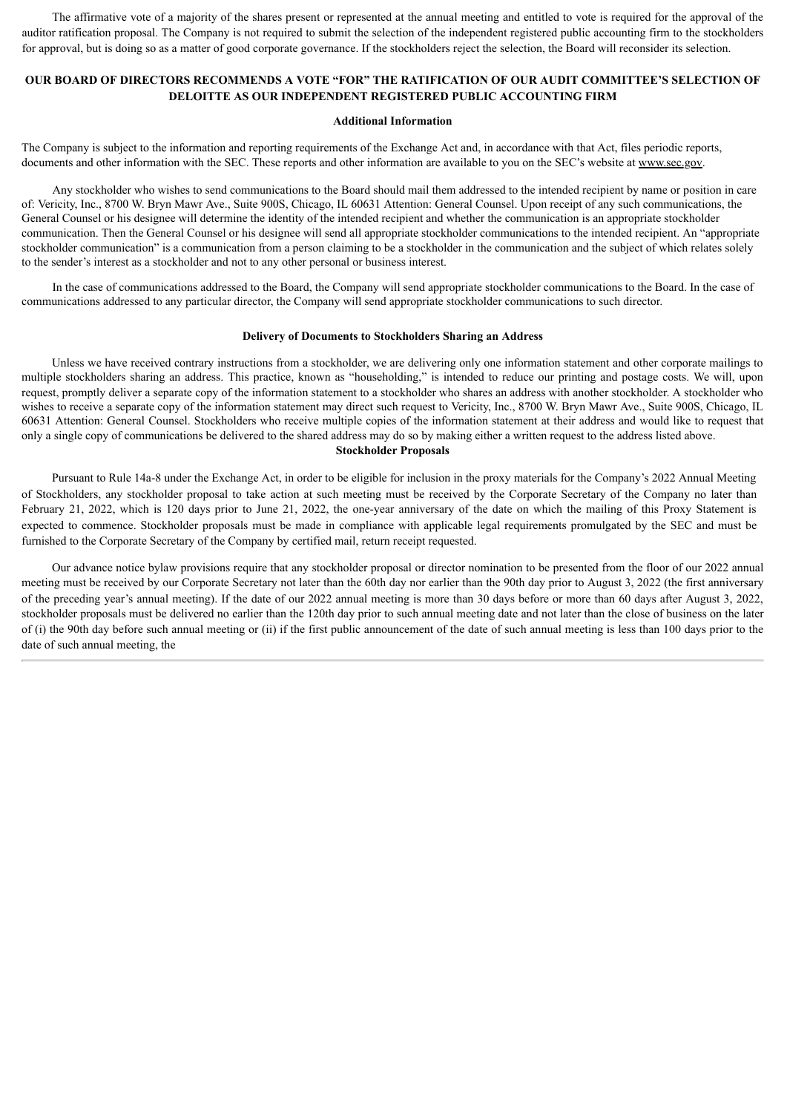The affirmative vote of a majority of the shares present or represented at the annual meeting and entitled to vote is required for the approval of the auditor ratification proposal. The Company is not required to submit the selection of the independent registered public accounting firm to the stockholders for approval, but is doing so as a matter of good corporate governance. If the stockholders reject the selection, the Board will reconsider its selection.

### **OUR BOARD OF DIRECTORS RECOMMENDS A VOTE "FOR" THE RATIFICATION OF OUR AUDIT COMMITTEE'S SELECTION OF DELOITTE AS OUR INDEPENDENT REGISTERED PUBLIC ACCOUNTING FIRM**

#### **Additional Information**

The Company is subject to the information and reporting requirements of the Exchange Act and, in accordance with that Act, files periodic reports, documents and other information with the SEC. These reports and other information are available to you on the SEC's website at www.sec.gov.

Any stockholder who wishes to send communications to the Board should mail them addressed to the intended recipient by name or position in care of: Vericity, Inc., 8700 W. Bryn Mawr Ave., Suite 900S, Chicago, IL 60631 Attention: General Counsel. Upon receipt of any such communications, the General Counsel or his designee will determine the identity of the intended recipient and whether the communication is an appropriate stockholder communication. Then the General Counsel or his designee will send all appropriate stockholder communications to the intended recipient. An "appropriate stockholder communication" is a communication from a person claiming to be a stockholder in the communication and the subject of which relates solely to the sender's interest as a stockholder and not to any other personal or business interest.

In the case of communications addressed to the Board, the Company will send appropriate stockholder communications to the Board. In the case of communications addressed to any particular director, the Company will send appropriate stockholder communications to such director.

#### **Delivery of Documents to Stockholders Sharing an Address**

Unless we have received contrary instructions from a stockholder, we are delivering only one information statement and other corporate mailings to multiple stockholders sharing an address. This practice, known as "householding," is intended to reduce our printing and postage costs. We will, upon request, promptly deliver a separate copy of the information statement to a stockholder who shares an address with another stockholder. A stockholder who wishes to receive a separate copy of the information statement may direct such request to Vericity, Inc., 8700 W. Bryn Mawr Ave., Suite 900S, Chicago, IL 60631 Attention: General Counsel. Stockholders who receive multiple copies of the information statement at their address and would like to request that only a single copy of communications be delivered to the shared address may do so by making either a written request to the address listed above. **Stockholder Proposals**

Pursuant to Rule 14a-8 under the Exchange Act, in order to be eligible for inclusion in the proxy materials for the Company's 2022 Annual Meeting of Stockholders, any stockholder proposal to take action at such meeting must be received by the Corporate Secretary of the Company no later than February 21, 2022, which is 120 days prior to June 21, 2022, the one-year anniversary of the date on which the mailing of this Proxy Statement is expected to commence. Stockholder proposals must be made in compliance with applicable legal requirements promulgated by the SEC and must be furnished to the Corporate Secretary of the Company by certified mail, return receipt requested.

Our advance notice bylaw provisions require that any stockholder proposal or director nomination to be presented from the floor of our 2022 annual meeting must be received by our Corporate Secretary not later than the 60th day nor earlier than the 90th day prior to August 3, 2022 (the first anniversary of the preceding year's annual meeting). If the date of our 2022 annual meeting is more than 30 days before or more than 60 days after August 3, 2022, stockholder proposals must be delivered no earlier than the 120th day prior to such annual meeting date and not later than the close of business on the later of (i) the 90th day before such annual meeting or (ii) if the first public announcement of the date of such annual meeting is less than 100 days prior to the date of such annual meeting, the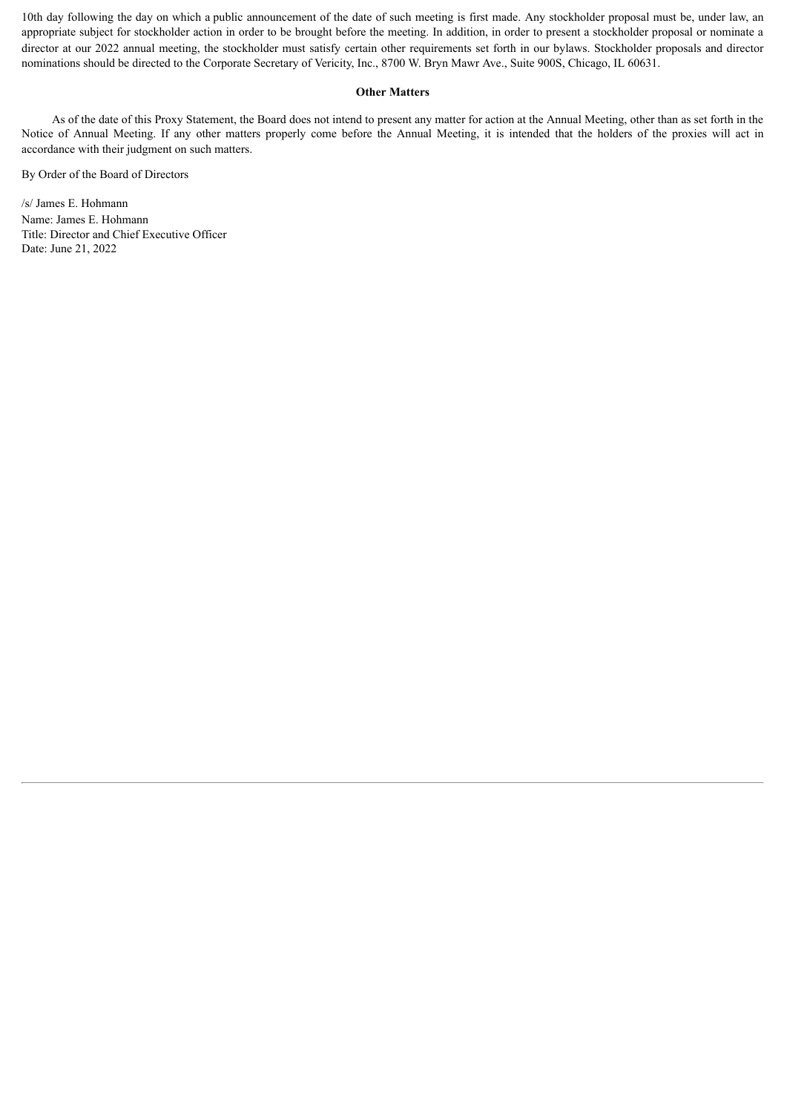10th day following the day on which a public announcement of the date of such meeting is first made. Any stockholder proposal must be, under law, an appropriate subject for stockholder action in order to be brought before the meeting. In addition, in order to present a stockholder proposal or nominate a director at our 2022 annual meeting, the stockholder must satisfy certain other requirements set forth in our bylaws. Stockholder proposals and director nominations should be directed to the Corporate Secretary of Vericity, Inc., 8700 W. Bryn Mawr Ave., Suite 900S, Chicago, IL 60631.

### **Other Matters**

As of the date of this Proxy Statement, the Board does not intend to present any matter for action at the Annual Meeting, other than as set forth in the Notice of Annual Meeting. If any other matters properly come before the Annual Meeting, it is intended that the holders of the proxies will act in accordance with their judgment on such matters.

By Order of the Board of Directors

/s/ James E. Hohmann Name: James E. Hohmann Title: Director and Chief Executive Officer Date: June 21, 2022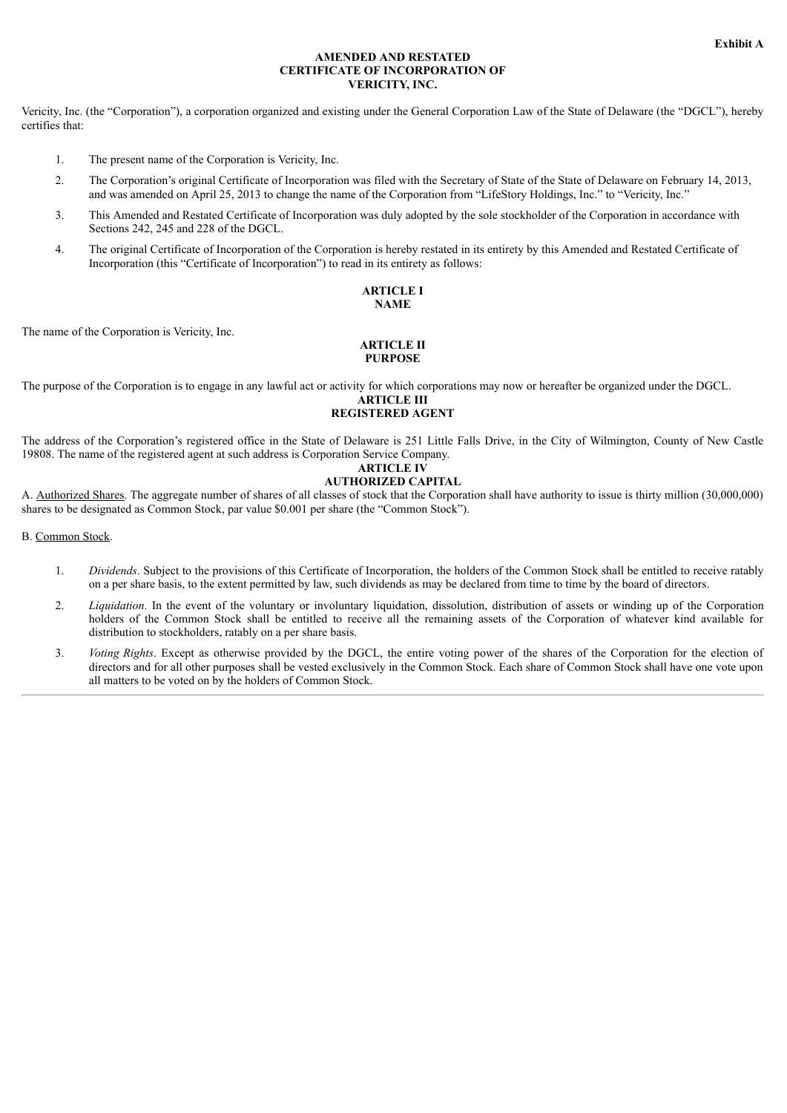### **AMENDED AND RESTATED CERTIFICATE OF INCORPORATION OF VERICITY, INC.**

Vericity, Inc. (the "Corporation"), a corporation organized and existing under the General Corporation Law of the State of Delaware (the "DGCL"), hereby certifies that:

- 1. The present name of the Corporation is Vericity, Inc.
- 2. The Corporation's original Certificate of Incorporation was filed with the Secretary of State of the State of Delaware on February 14, 2013, and was amended on April 25, 2013 to change the name of the Corporation from "LifeStory Holdings, Inc." to "Vericity, Inc."
- 3. This Amended and Restated Certificate of Incorporation was duly adopted by the sole stockholder of the Corporation in accordance with Sections 242, 245 and 228 of the DGCL.
- 4. The original Certificate of Incorporation of the Corporation is hereby restated in its entirety by this Amended and Restated Certificate of Incorporation (this "Certificate of Incorporation") to read in its entirety as follows:

### **ARTICLE I NAME**

The name of the Corporation is Vericity, Inc.

### **ARTICLE II PURPOSE**

The purpose of the Corporation is to engage in any lawful act or activity for which corporations may now or hereafter be organized under the DGCL.

#### **ARTICLE III REGISTERED AGENT**

The address of the Corporation's registered office in the State of Delaware is 251 Little Falls Drive, in the City of Wilmington, County of New Castle 19808. The name of the registered agent at such address is Corporation Service Company.

# **ARTICLE IV**

### **AUTHORIZED CAPITAL**

A. Authorized Shares. The aggregate number of shares of all classes of stock that the Corporation shall have authority to issue is thirty million (30,000,000) shares to be designated as Common Stock, par value \$0.001 per share (the "Common Stock").

### B. Common Stock.

- 1. *Dividends*. Subject to the provisions of this Certificate of Incorporation, the holders of the Common Stock shall be entitled to receive ratably on a per share basis, to the extent permitted by law, such dividends as may be declared from time to time by the board of directors.
- 2. *Liquidation*. In the event of the voluntary or involuntary liquidation, dissolution, distribution of assets or winding up of the Corporation holders of the Common Stock shall be entitled to receive all the remaining assets of the Corporation of whatever kind available for distribution to stockholders, ratably on a per share basis.
- 3. *Voting Rights*. Except as otherwise provided by the DGCL, the entire voting power of the shares of the Corporation for the election of directors and for all other purposes shall be vested exclusively in the Common Stock. Each share of Common Stock shall have one vote upon all matters to be voted on by the holders of Common Stock.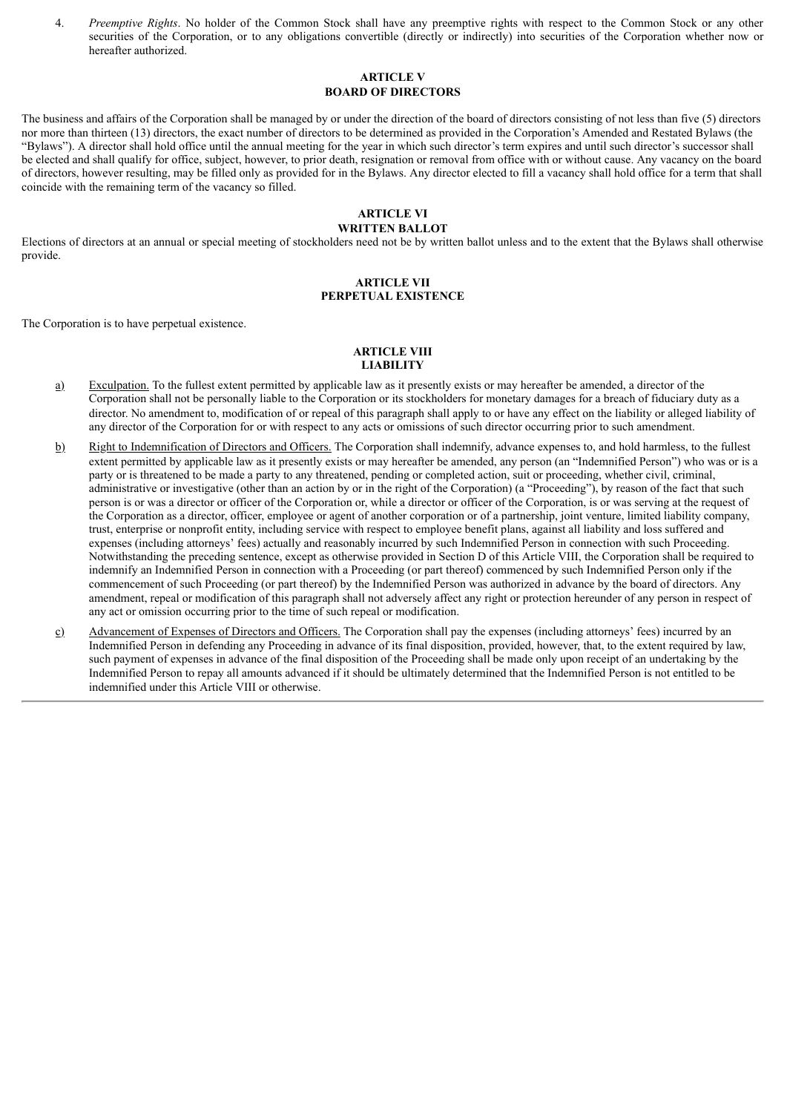4. *Preemptive Rights*. No holder of the Common Stock shall have any preemptive rights with respect to the Common Stock or any other securities of the Corporation, or to any obligations convertible (directly or indirectly) into securities of the Corporation whether now or hereafter authorized.

### **ARTICLE V BOARD OF DIRECTORS**

The business and affairs of the Corporation shall be managed by or under the direction of the board of directors consisting of not less than five (5) directors nor more than thirteen (13) directors, the exact number of directors to be determined as provided in the Corporation's Amended and Restated Bylaws (the "Bylaws"). A director shall hold office until the annual meeting for the year in which such director's term expires and until such director's successor shall be elected and shall qualify for office, subject, however, to prior death, resignation or removal from office with or without cause. Any vacancy on the board of directors, however resulting, may be filled only as provided for in the Bylaws. Any director elected to fill a vacancy shall hold office for a term that shall coincide with the remaining term of the vacancy so filled.

# **ARTICLE VI**

### **WRITTEN BALLOT**

Elections of directors at an annual or special meeting of stockholders need not be by written ballot unless and to the extent that the Bylaws shall otherwise provide.

### **ARTICLE VII PERPETUAL EXISTENCE**

The Corporation is to have perpetual existence.

#### **ARTICLE VIII LIABILITY**

- a) Exculpation. To the fullest extent permitted by applicable law as it presently exists or may hereafter be amended, a director of the Corporation shall not be personally liable to the Corporation or its stockholders for monetary damages for a breach of fiduciary duty as a director. No amendment to, modification of or repeal of this paragraph shall apply to or have any effect on the liability or alleged liability of any director of the Corporation for or with respect to any acts or omissions of such director occurring prior to such amendment.
- b) Right to Indemnification of Directors and Officers. The Corporation shall indemnify, advance expenses to, and hold harmless, to the fullest extent permitted by applicable law as it presently exists or may hereafter be amended, any person (an "Indemnified Person") who was or is a party or is threatened to be made a party to any threatened, pending or completed action, suit or proceeding, whether civil, criminal, administrative or investigative (other than an action by or in the right of the Corporation) (a "Proceeding"), by reason of the fact that such person is or was a director or officer of the Corporation or, while a director or officer of the Corporation, is or was serving at the request of the Corporation as a director, officer, employee or agent of another corporation or of a partnership, joint venture, limited liability company, trust, enterprise or nonprofit entity, including service with respect to employee benefit plans, against all liability and loss suffered and expenses (including attorneys' fees) actually and reasonably incurred by such Indemnified Person in connection with such Proceeding. Notwithstanding the preceding sentence, except as otherwise provided in Section D of this Article VIII, the Corporation shall be required to indemnify an Indemnified Person in connection with a Proceeding (or part thereof) commenced by such Indemnified Person only if the commencement of such Proceeding (or part thereof) by the Indemnified Person was authorized in advance by the board of directors. Any amendment, repeal or modification of this paragraph shall not adversely affect any right or protection hereunder of any person in respect of any act or omission occurring prior to the time of such repeal or modification.
- c) Advancement of Expenses of Directors and Officers. The Corporation shall pay the expenses (including attorneys' fees) incurred by an Indemnified Person in defending any Proceeding in advance of its final disposition, provided, however, that, to the extent required by law, such payment of expenses in advance of the final disposition of the Proceeding shall be made only upon receipt of an undertaking by the Indemnified Person to repay all amounts advanced if it should be ultimately determined that the Indemnified Person is not entitled to be indemnified under this Article VIII or otherwise.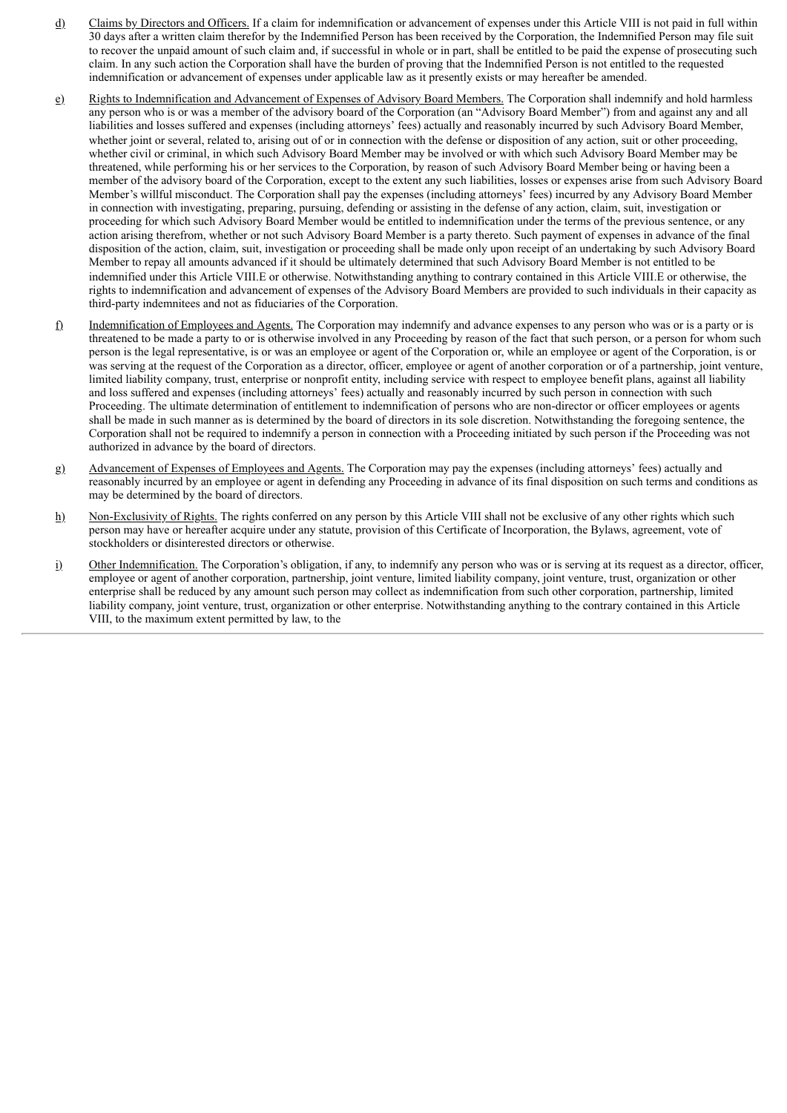- d) Claims by Directors and Officers. If a claim for indemnification or advancement of expenses under this Article VIII is not paid in full within 30 days after a written claim therefor by the Indemnified Person has been received by the Corporation, the Indemnified Person may file suit to recover the unpaid amount of such claim and, if successful in whole or in part, shall be entitled to be paid the expense of prosecuting such claim. In any such action the Corporation shall have the burden of proving that the Indemnified Person is not entitled to the requested indemnification or advancement of expenses under applicable law as it presently exists or may hereafter be amended.
- e) Rights to Indemnification and Advancement of Expenses of Advisory Board Members. The Corporation shall indemnify and hold harmless any person who is or was a member of the advisory board of the Corporation (an "Advisory Board Member") from and against any and all liabilities and losses suffered and expenses (including attorneys' fees) actually and reasonably incurred by such Advisory Board Member, whether joint or several, related to, arising out of or in connection with the defense or disposition of any action, suit or other proceeding. whether civil or criminal, in which such Advisory Board Member may be involved or with which such Advisory Board Member may be threatened, while performing his or her services to the Corporation, by reason of such Advisory Board Member being or having been a member of the advisory board of the Corporation, except to the extent any such liabilities, losses or expenses arise from such Advisory Board Member's willful misconduct. The Corporation shall pay the expenses (including attorneys' fees) incurred by any Advisory Board Member in connection with investigating, preparing, pursuing, defending or assisting in the defense of any action, claim, suit, investigation or proceeding for which such Advisory Board Member would be entitled to indemnification under the terms of the previous sentence, or any action arising therefrom, whether or not such Advisory Board Member is a party thereto. Such payment of expenses in advance of the final disposition of the action, claim, suit, investigation or proceeding shall be made only upon receipt of an undertaking by such Advisory Board Member to repay all amounts advanced if it should be ultimately determined that such Advisory Board Member is not entitled to be indemnified under this Article VIII.E or otherwise. Notwithstanding anything to contrary contained in this Article VIII.E or otherwise, the rights to indemnification and advancement of expenses of the Advisory Board Members are provided to such individuals in their capacity as third-party indemnitees and not as fiduciaries of the Corporation.
- f) Indemnification of Employees and Agents. The Corporation may indemnify and advance expenses to any person who was or is a party or is threatened to be made a party to or is otherwise involved in any Proceeding by reason of the fact that such person, or a person for whom such person is the legal representative, is or was an employee or agent of the Corporation or, while an employee or agent of the Corporation, is or was serving at the request of the Corporation as a director, officer, employee or agent of another corporation or of a partnership, joint venture, limited liability company, trust, enterprise or nonprofit entity, including service with respect to employee benefit plans, against all liability and loss suffered and expenses (including attorneys' fees) actually and reasonably incurred by such person in connection with such Proceeding. The ultimate determination of entitlement to indemnification of persons who are non-director or officer employees or agents shall be made in such manner as is determined by the board of directors in its sole discretion. Notwithstanding the foregoing sentence, the Corporation shall not be required to indemnify a person in connection with a Proceeding initiated by such person if the Proceeding was not authorized in advance by the board of directors.
- g) Advancement of Expenses of Employees and Agents. The Corporation may pay the expenses (including attorneys' fees) actually and reasonably incurred by an employee or agent in defending any Proceeding in advance of its final disposition on such terms and conditions as may be determined by the board of directors.
- h) Non-Exclusivity of Rights. The rights conferred on any person by this Article VIII shall not be exclusive of any other rights which such person may have or hereafter acquire under any statute, provision of this Certificate of Incorporation, the Bylaws, agreement, vote of stockholders or disinterested directors or otherwise.
- i) Other Indemnification. The Corporation's obligation, if any, to indemnify any person who was or is serving at its request as a director, officer, employee or agent of another corporation, partnership, joint venture, limited liability company, joint venture, trust, organization or other enterprise shall be reduced by any amount such person may collect as indemnification from such other corporation, partnership, limited liability company, joint venture, trust, organization or other enterprise. Notwithstanding anything to the contrary contained in this Article VIII, to the maximum extent permitted by law, to the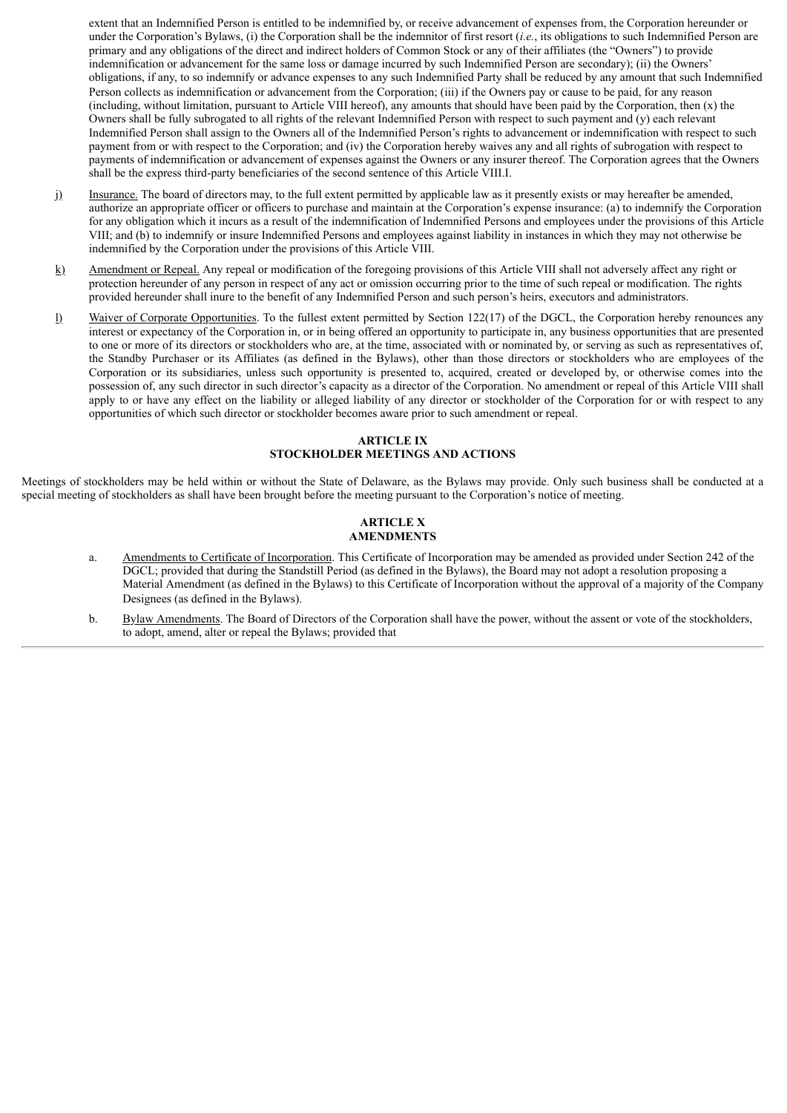extent that an Indemnified Person is entitled to be indemnified by, or receive advancement of expenses from, the Corporation hereunder or under the Corporation's Bylaws, (i) the Corporation shall be the indemnitor of first resort (*i.e.*, its obligations to such Indemnified Person are primary and any obligations of the direct and indirect holders of Common Stock or any of their affiliates (the "Owners") to provide indemnification or advancement for the same loss or damage incurred by such Indemnified Person are secondary); (ii) the Owners' obligations, if any, to so indemnify or advance expenses to any such Indemnified Party shall be reduced by any amount that such Indemnified Person collects as indemnification or advancement from the Corporation; (iii) if the Owners pay or cause to be paid, for any reason (including, without limitation, pursuant to Article VIII hereof), any amounts that should have been paid by the Corporation, then (x) the Owners shall be fully subrogated to all rights of the relevant Indemnified Person with respect to such payment and (y) each relevant Indemnified Person shall assign to the Owners all of the Indemnified Person's rights to advancement or indemnification with respect to such payment from or with respect to the Corporation; and (iv) the Corporation hereby waives any and all rights of subrogation with respect to payments of indemnification or advancement of expenses against the Owners or any insurer thereof. The Corporation agrees that the Owners shall be the express third-party beneficiaries of the second sentence of this Article VIII.I.

- j) Insurance. The board of directors may, to the full extent permitted by applicable law as it presently exists or may hereafter be amended, authorize an appropriate officer or officers to purchase and maintain at the Corporation's expense insurance: (a) to indemnify the Corporation for any obligation which it incurs as a result of the indemnification of Indemnified Persons and employees under the provisions of this Article VIII; and (b) to indemnify or insure Indemnified Persons and employees against liability in instances in which they may not otherwise be indemnified by the Corporation under the provisions of this Article VIII.
- k) Amendment or Repeal. Any repeal or modification of the foregoing provisions of this Article VIII shall not adversely affect any right or protection hereunder of any person in respect of any act or omission occurring prior to the time of such repeal or modification. The rights provided hereunder shall inure to the benefit of any Indemnified Person and such person's heirs, executors and administrators.
- l) Waiver of Corporate Opportunities. To the fullest extent permitted by Section 122(17) of the DGCL, the Corporation hereby renounces any interest or expectancy of the Corporation in, or in being offered an opportunity to participate in, any business opportunities that are presented to one or more of its directors or stockholders who are, at the time, associated with or nominated by, or serving as such as representatives of, the Standby Purchaser or its Affiliates (as defined in the Bylaws), other than those directors or stockholders who are employees of the Corporation or its subsidiaries, unless such opportunity is presented to, acquired, created or developed by, or otherwise comes into the possession of, any such director in such director's capacity as a director of the Corporation. No amendment or repeal of this Article VIII shall apply to or have any effect on the liability or alleged liability of any director or stockholder of the Corporation for or with respect to any opportunities of which such director or stockholder becomes aware prior to such amendment or repeal.

### **ARTICLE IX STOCKHOLDER MEETINGS AND ACTIONS**

Meetings of stockholders may be held within or without the State of Delaware, as the Bylaws may provide. Only such business shall be conducted at a special meeting of stockholders as shall have been brought before the meeting pursuant to the Corporation's notice of meeting.

### **ARTICLE X AMENDMENTS**

- a. Amendments to Certificate of Incorporation. This Certificate of Incorporation may be amended as provided under Section 242 of the DGCL; provided that during the Standstill Period (as defined in the Bylaws), the Board may not adopt a resolution proposing a Material Amendment (as defined in the Bylaws) to this Certificate of Incorporation without the approval of a majority of the Company Designees (as defined in the Bylaws).
- b. Bylaw Amendments. The Board of Directors of the Corporation shall have the power, without the assent or vote of the stockholders, to adopt, amend, alter or repeal the Bylaws; provided that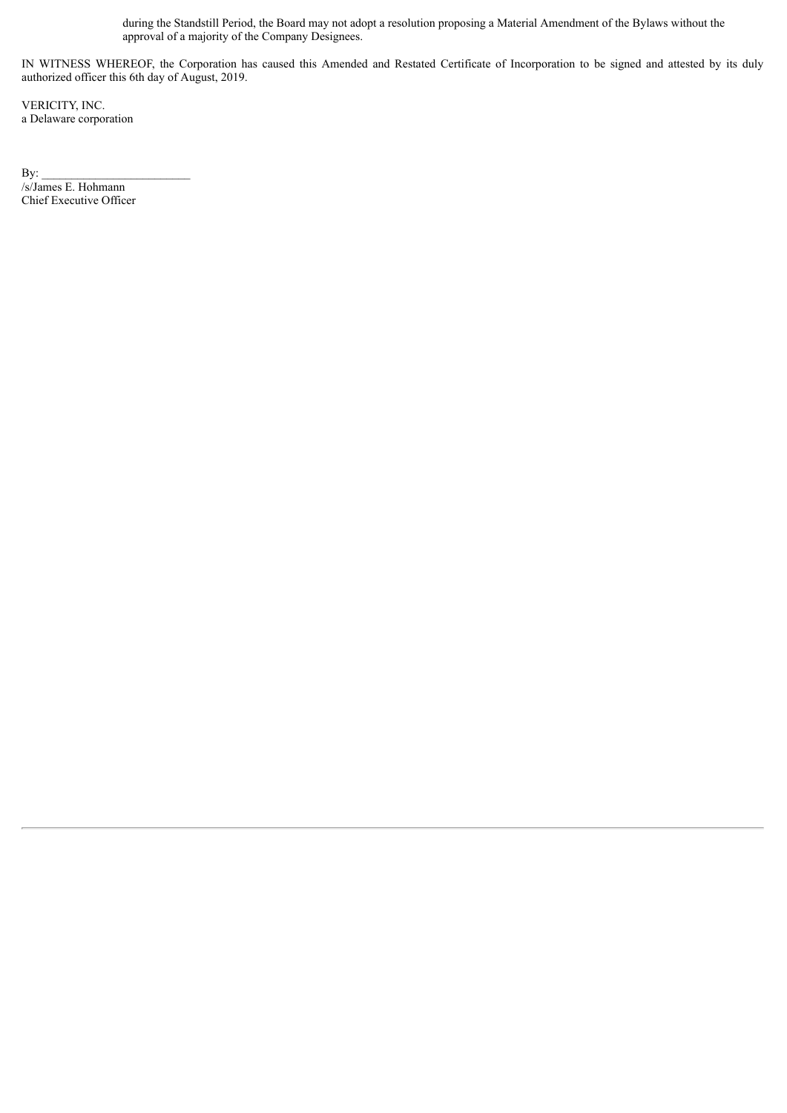during the Standstill Period, the Board may not adopt a resolution proposing a Material Amendment of the Bylaws without the approval of a majority of the Company Designees.

IN WITNESS WHEREOF, the Corporation has caused this Amended and Restated Certificate of Incorporation to be signed and attested by its duly authorized officer this 6th day of August, 2019.

VERICITY, INC. a Delaware corporation

 $\mathbf{By:}$ /s/James E. Hohmann Chief Executive Officer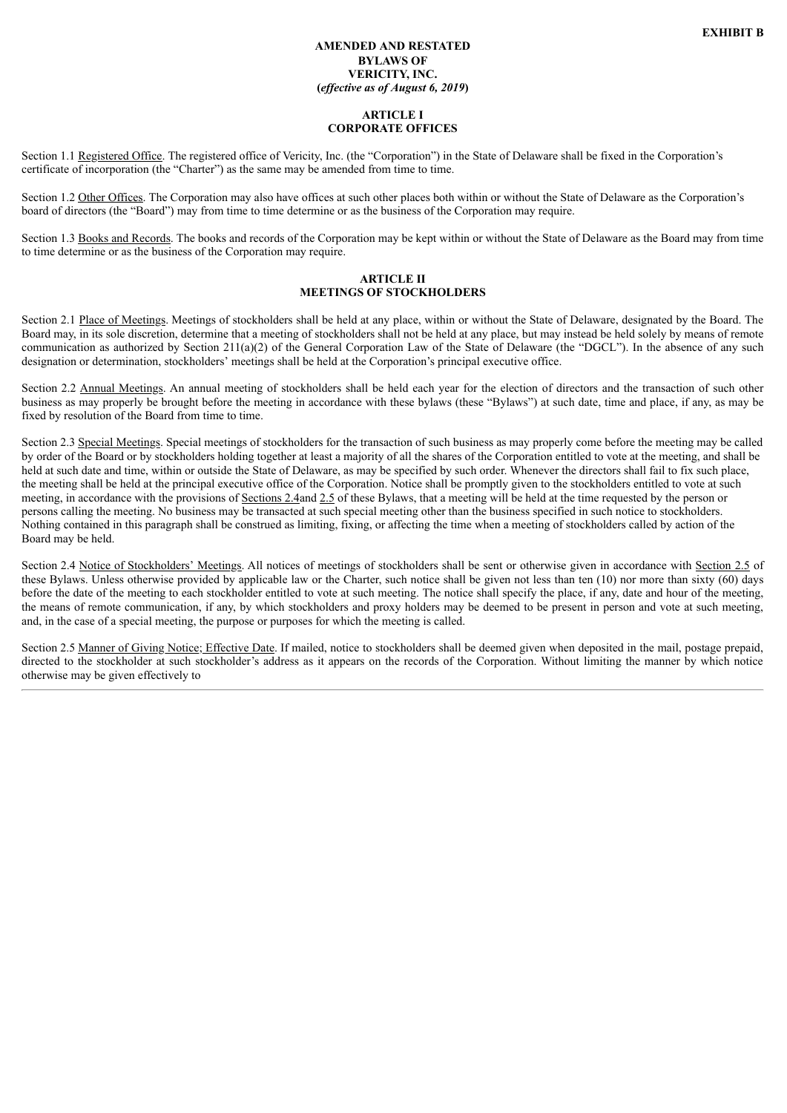### **AMENDED AND RESTATED BYLAWS OF VERICITY, INC. (***ef ective as of August 6, 2019***)**

### **ARTICLE I CORPORATE OFFICES**

Section 1.1 Registered Office. The registered office of Vericity, Inc. (the "Corporation") in the State of Delaware shall be fixed in the Corporation's certificate of incorporation (the "Charter") as the same may be amended from time to time.

Section 1.2 Other Offices. The Corporation may also have offices at such other places both within or without the State of Delaware as the Corporation's board of directors (the "Board") may from time to time determine or as the business of the Corporation may require.

Section 1.3 Books and Records. The books and records of the Corporation may be kept within or without the State of Delaware as the Board may from time to time determine or as the business of the Corporation may require.

#### **ARTICLE II MEETINGS OF STOCKHOLDERS**

Section 2.1 Place of Meetings. Meetings of stockholders shall be held at any place, within or without the State of Delaware, designated by the Board. The Board may, in its sole discretion, determine that a meeting of stockholders shall not be held at any place, but may instead be held solely by means of remote communication as authorized by Section 211(a)(2) of the General Corporation Law of the State of Delaware (the "DGCL"). In the absence of any such designation or determination, stockholders' meetings shall be held at the Corporation's principal executive office.

Section 2.2 Annual Meetings. An annual meeting of stockholders shall be held each year for the election of directors and the transaction of such other business as may properly be brought before the meeting in accordance with these bylaws (these "Bylaws") at such date, time and place, if any, as may be fixed by resolution of the Board from time to time.

Section 2.3 Special Meetings. Special meetings of stockholders for the transaction of such business as may properly come before the meeting may be called by order of the Board or by stockholders holding together at least a majority of all the shares of the Corporation entitled to vote at the meeting, and shall be held at such date and time, within or outside the State of Delaware, as may be specified by such order. Whenever the directors shall fail to fix such place, the meeting shall be held at the principal executive office of the Corporation. Notice shall be promptly given to the stockholders entitled to vote at such meeting, in accordance with the provisions of Sections 2.4and 2.5 of these Bylaws, that a meeting will be held at the time requested by the person or persons calling the meeting. No business may be transacted at such special meeting other than the business specified in such notice to stockholders. Nothing contained in this paragraph shall be construed as limiting, fixing, or affecting the time when a meeting of stockholders called by action of the Board may be held.

Section 2.4 Notice of Stockholders' Meetings. All notices of meetings of stockholders shall be sent or otherwise given in accordance with Section 2.5 of these Bylaws. Unless otherwise provided by applicable law or the Charter, such notice shall be given not less than ten (10) nor more than sixty (60) days before the date of the meeting to each stockholder entitled to vote at such meeting. The notice shall specify the place, if any, date and hour of the meeting, the means of remote communication, if any, by which stockholders and proxy holders may be deemed to be present in person and vote at such meeting, and, in the case of a special meeting, the purpose or purposes for which the meeting is called.

Section 2.5 Manner of Giving Notice; Effective Date. If mailed, notice to stockholders shall be deemed given when deposited in the mail, postage prepaid, directed to the stockholder at such stockholder's address as it appears on the records of the Corporation. Without limiting the manner by which notice otherwise may be given effectively to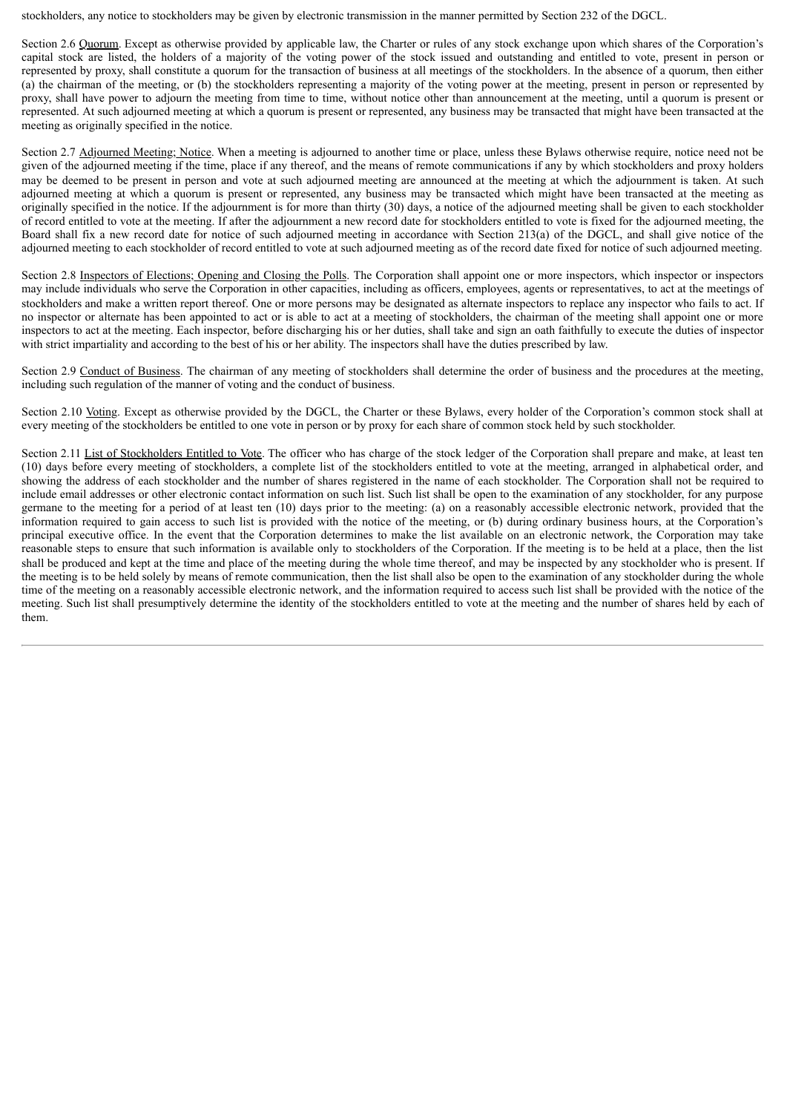stockholders, any notice to stockholders may be given by electronic transmission in the manner permitted by Section 232 of the DGCL.

Section 2.6 Quorum. Except as otherwise provided by applicable law, the Charter or rules of any stock exchange upon which shares of the Corporation's capital stock are listed, the holders of a majority of the voting power of the stock issued and outstanding and entitled to vote, present in person or represented by proxy, shall constitute a quorum for the transaction of business at all meetings of the stockholders. In the absence of a quorum, then either (a) the chairman of the meeting, or (b) the stockholders representing a majority of the voting power at the meeting, present in person or represented by proxy, shall have power to adjourn the meeting from time to time, without notice other than announcement at the meeting, until a quorum is present or represented. At such adjourned meeting at which a quorum is present or represented, any business may be transacted that might have been transacted at the meeting as originally specified in the notice.

Section 2.7 Adjourned Meeting; Notice. When a meeting is adjourned to another time or place, unless these Bylaws otherwise require, notice need not be given of the adjourned meeting if the time, place if any thereof, and the means of remote communications if any by which stockholders and proxy holders may be deemed to be present in person and vote at such adjourned meeting are announced at the meeting at which the adjournment is taken. At such adjourned meeting at which a quorum is present or represented, any business may be transacted which might have been transacted at the meeting as originally specified in the notice. If the adjournment is for more than thirty (30) days, a notice of the adjourned meeting shall be given to each stockholder of record entitled to vote at the meeting. If after the adjournment a new record date for stockholders entitled to vote is fixed for the adjourned meeting, the Board shall fix a new record date for notice of such adjourned meeting in accordance with Section 213(a) of the DGCL, and shall give notice of the adjourned meeting to each stockholder of record entitled to vote at such adjourned meeting as of the record date fixed for notice of such adjourned meeting.

Section 2.8 Inspectors of Elections; Opening and Closing the Polls. The Corporation shall appoint one or more inspectors, which inspector or inspectors may include individuals who serve the Corporation in other capacities, including as officers, employees, agents or representatives, to act at the meetings of stockholders and make a written report thereof. One or more persons may be designated as alternate inspectors to replace any inspector who fails to act. If no inspector or alternate has been appointed to act or is able to act at a meeting of stockholders, the chairman of the meeting shall appoint one or more inspectors to act at the meeting. Each inspector, before discharging his or her duties, shall take and sign an oath faithfully to execute the duties of inspector with strict impartiality and according to the best of his or her ability. The inspectors shall have the duties prescribed by law.

Section 2.9 Conduct of Business. The chairman of any meeting of stockholders shall determine the order of business and the procedures at the meeting. including such regulation of the manner of voting and the conduct of business.

Section 2.10 Voting. Except as otherwise provided by the DGCL, the Charter or these Bylaws, every holder of the Corporation's common stock shall at every meeting of the stockholders be entitled to one vote in person or by proxy for each share of common stock held by such stockholder.

Section 2.11 List of Stockholders Entitled to Vote. The officer who has charge of the stock ledger of the Corporation shall prepare and make, at least ten (10) days before every meeting of stockholders, a complete list of the stockholders entitled to vote at the meeting, arranged in alphabetical order, and showing the address of each stockholder and the number of shares registered in the name of each stockholder. The Corporation shall not be required to include email addresses or other electronic contact information on such list. Such list shall be open to the examination of any stockholder, for any purpose germane to the meeting for a period of at least ten (10) days prior to the meeting: (a) on a reasonably accessible electronic network, provided that the information required to gain access to such list is provided with the notice of the meeting, or (b) during ordinary business hours, at the Corporation's principal executive office. In the event that the Corporation determines to make the list available on an electronic network, the Corporation may take reasonable steps to ensure that such information is available only to stockholders of the Corporation. If the meeting is to be held at a place, then the list shall be produced and kept at the time and place of the meeting during the whole time thereof, and may be inspected by any stockholder who is present. If the meeting is to be held solely by means of remote communication, then the list shall also be open to the examination of any stockholder during the whole time of the meeting on a reasonably accessible electronic network, and the information required to access such list shall be provided with the notice of the meeting. Such list shall presumptively determine the identity of the stockholders entitled to vote at the meeting and the number of shares held by each of them.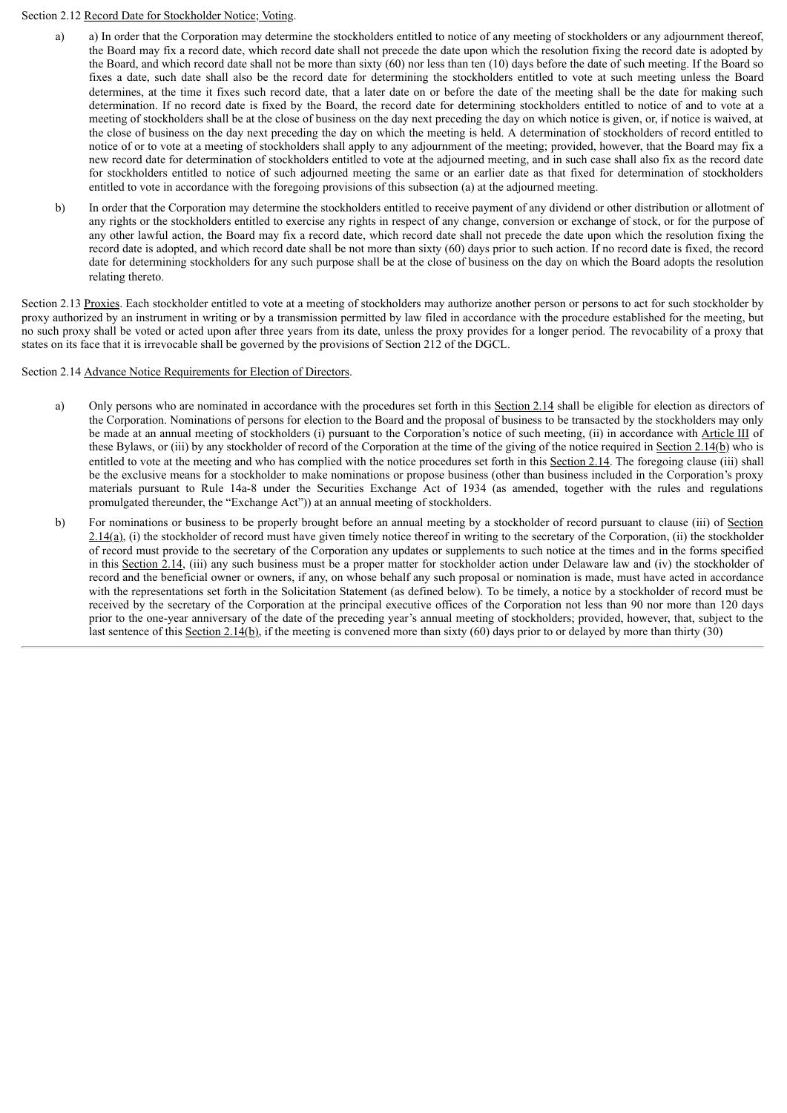### Section 2.12 Record Date for Stockholder Notice; Voting.

- a) a) In order that the Corporation may determine the stockholders entitled to notice of any meeting of stockholders or any adjournment thereof, the Board may fix a record date, which record date shall not precede the date upon which the resolution fixing the record date is adopted by the Board, and which record date shall not be more than sixty (60) nor less than ten (10) days before the date of such meeting. If the Board so fixes a date, such date shall also be the record date for determining the stockholders entitled to vote at such meeting unless the Board determines, at the time it fixes such record date, that a later date on or before the date of the meeting shall be the date for making such determination. If no record date is fixed by the Board, the record date for determining stockholders entitled to notice of and to vote at a meeting of stockholders shall be at the close of business on the day next preceding the day on which notice is given, or, if notice is waived, at the close of business on the day next preceding the day on which the meeting is held. A determination of stockholders of record entitled to notice of or to vote at a meeting of stockholders shall apply to any adjournment of the meeting; provided, however, that the Board may fix a new record date for determination of stockholders entitled to vote at the adjourned meeting, and in such case shall also fix as the record date for stockholders entitled to notice of such adjourned meeting the same or an earlier date as that fixed for determination of stockholders entitled to vote in accordance with the foregoing provisions of this subsection (a) at the adjourned meeting.
- b) In order that the Corporation may determine the stockholders entitled to receive payment of any dividend or other distribution or allotment of any rights or the stockholders entitled to exercise any rights in respect of any change, conversion or exchange of stock, or for the purpose of any other lawful action, the Board may fix a record date, which record date shall not precede the date upon which the resolution fixing the record date is adopted, and which record date shall be not more than sixty (60) days prior to such action. If no record date is fixed, the record date for determining stockholders for any such purpose shall be at the close of business on the day on which the Board adopts the resolution relating thereto.

Section 2.13 Proxies. Each stockholder entitled to vote at a meeting of stockholders may authorize another person or persons to act for such stockholder by proxy authorized by an instrument in writing or by a transmission permitted by law filed in accordance with the procedure established for the meeting, but no such proxy shall be voted or acted upon after three years from its date, unless the proxy provides for a longer period. The revocability of a proxy that states on its face that it is irrevocable shall be governed by the provisions of Section 212 of the DGCL.

### Section 2.14 Advance Notice Requirements for Election of Directors.

- a) Only persons who are nominated in accordance with the procedures set forth in this Section 2.14 shall be eligible for election as directors of the Corporation. Nominations of persons for election to the Board and the proposal of business to be transacted by the stockholders may only be made at an annual meeting of stockholders (i) pursuant to the Corporation's notice of such meeting, (ii) in accordance with Article III of these Bylaws, or (iii) by any stockholder of record of the Corporation at the time of the giving of the notice required in Section 2.14(b) who is entitled to vote at the meeting and who has complied with the notice procedures set forth in this Section 2.14. The foregoing clause (iii) shall be the exclusive means for a stockholder to make nominations or propose business (other than business included in the Corporation's proxy materials pursuant to Rule 14a-8 under the Securities Exchange Act of 1934 (as amended, together with the rules and regulations promulgated thereunder, the "Exchange Act")) at an annual meeting of stockholders.
- b) For nominations or business to be properly brought before an annual meeting by a stockholder of record pursuant to clause (iii) of Section  $2.14(a)$ , (i) the stockholder of record must have given timely notice thereof in writing to the secretary of the Corporation, (ii) the stockholder of record must provide to the secretary of the Corporation any updates or supplements to such notice at the times and in the forms specified in this Section 2.14, (iii) any such business must be a proper matter for stockholder action under Delaware law and (iv) the stockholder of record and the beneficial owner or owners, if any, on whose behalf any such proposal or nomination is made, must have acted in accordance with the representations set forth in the Solicitation Statement (as defined below). To be timely, a notice by a stockholder of record must be received by the secretary of the Corporation at the principal executive offices of the Corporation not less than 90 nor more than 120 days prior to the one-year anniversary of the date of the preceding year's annual meeting of stockholders; provided, however, that, subject to the last sentence of this Section 2.14(b), if the meeting is convened more than sixty (60) days prior to or delayed by more than thirty (30)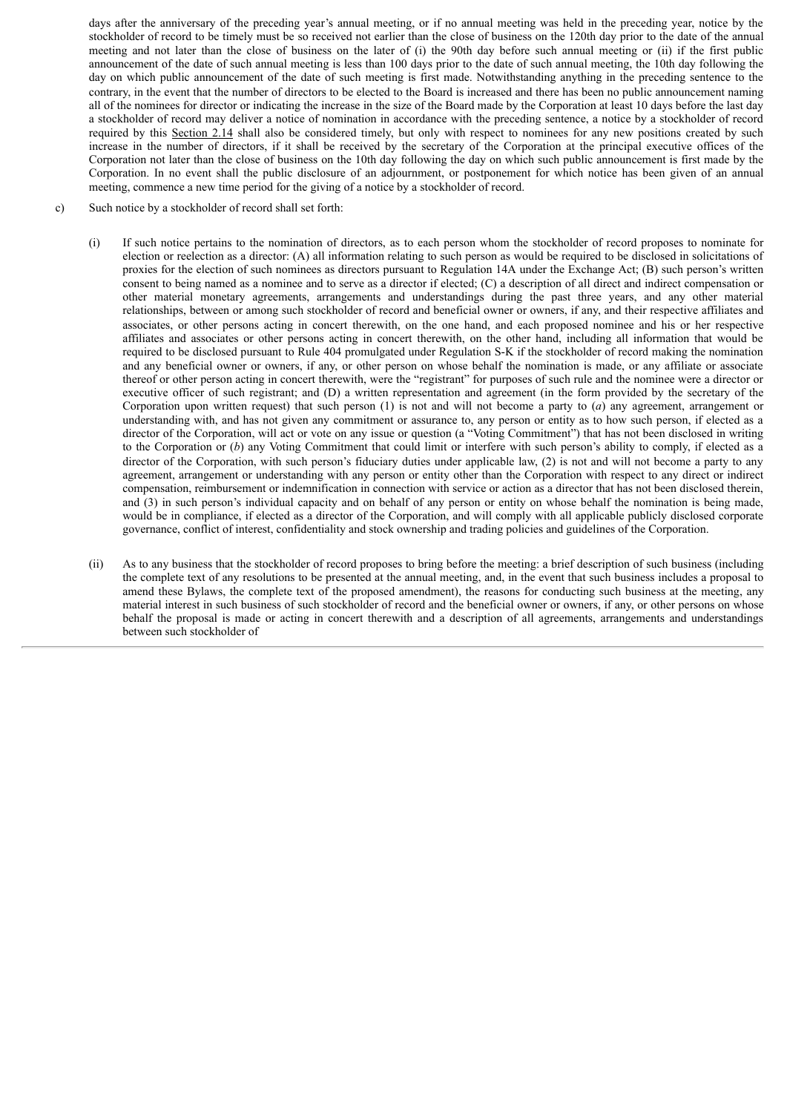days after the anniversary of the preceding year's annual meeting, or if no annual meeting was held in the preceding year, notice by the stockholder of record to be timely must be so received not earlier than the close of business on the 120th day prior to the date of the annual meeting and not later than the close of business on the later of (i) the 90th day before such annual meeting or (ii) if the first public announcement of the date of such annual meeting is less than 100 days prior to the date of such annual meeting, the 10th day following the day on which public announcement of the date of such meeting is first made. Notwithstanding anything in the preceding sentence to the contrary, in the event that the number of directors to be elected to the Board is increased and there has been no public announcement naming all of the nominees for director or indicating the increase in the size of the Board made by the Corporation at least 10 days before the last day a stockholder of record may deliver a notice of nomination in accordance with the preceding sentence, a notice by a stockholder of record required by this Section 2.14 shall also be considered timely, but only with respect to nominees for any new positions created by such increase in the number of directors, if it shall be received by the secretary of the Corporation at the principal executive offices of the Corporation not later than the close of business on the 10th day following the day on which such public announcement is first made by the Corporation. In no event shall the public disclosure of an adjournment, or postponement for which notice has been given of an annual meeting, commence a new time period for the giving of a notice by a stockholder of record.

- c) Such notice by a stockholder of record shall set forth:
	- (i) If such notice pertains to the nomination of directors, as to each person whom the stockholder of record proposes to nominate for election or reelection as a director: (A) all information relating to such person as would be required to be disclosed in solicitations of proxies for the election of such nominees as directors pursuant to Regulation 14A under the Exchange Act; (B) such person's written consent to being named as a nominee and to serve as a director if elected; (C) a description of all direct and indirect compensation or other material monetary agreements, arrangements and understandings during the past three years, and any other material relationships, between or among such stockholder of record and beneficial owner or owners, if any, and their respective affiliates and associates, or other persons acting in concert therewith, on the one hand, and each proposed nominee and his or her respective affiliates and associates or other persons acting in concert therewith, on the other hand, including all information that would be required to be disclosed pursuant to Rule 404 promulgated under Regulation S-K if the stockholder of record making the nomination and any beneficial owner or owners, if any, or other person on whose behalf the nomination is made, or any affiliate or associate thereof or other person acting in concert therewith, were the "registrant" for purposes of such rule and the nominee were a director or executive officer of such registrant; and (D) a written representation and agreement (in the form provided by the secretary of the Corporation upon written request) that such person (1) is not and will not become a party to (*a*) any agreement, arrangement or understanding with, and has not given any commitment or assurance to, any person or entity as to how such person, if elected as a director of the Corporation, will act or vote on any issue or question (a "Voting Commitment") that has not been disclosed in writing to the Corporation or (*b*) any Voting Commitment that could limit or interfere with such person's ability to comply, if elected as a director of the Corporation, with such person's fiduciary duties under applicable law, (2) is not and will not become a party to any agreement, arrangement or understanding with any person or entity other than the Corporation with respect to any direct or indirect compensation, reimbursement or indemnification in connection with service or action as a director that has not been disclosed therein, and (3) in such person's individual capacity and on behalf of any person or entity on whose behalf the nomination is being made, would be in compliance, if elected as a director of the Corporation, and will comply with all applicable publicly disclosed corporate governance, conflict of interest, confidentiality and stock ownership and trading policies and guidelines of the Corporation.
	- (ii) As to any business that the stockholder of record proposes to bring before the meeting: a brief description of such business (including the complete text of any resolutions to be presented at the annual meeting, and, in the event that such business includes a proposal to amend these Bylaws, the complete text of the proposed amendment), the reasons for conducting such business at the meeting, any material interest in such business of such stockholder of record and the beneficial owner or owners, if any, or other persons on whose behalf the proposal is made or acting in concert therewith and a description of all agreements, arrangements and understandings between such stockholder of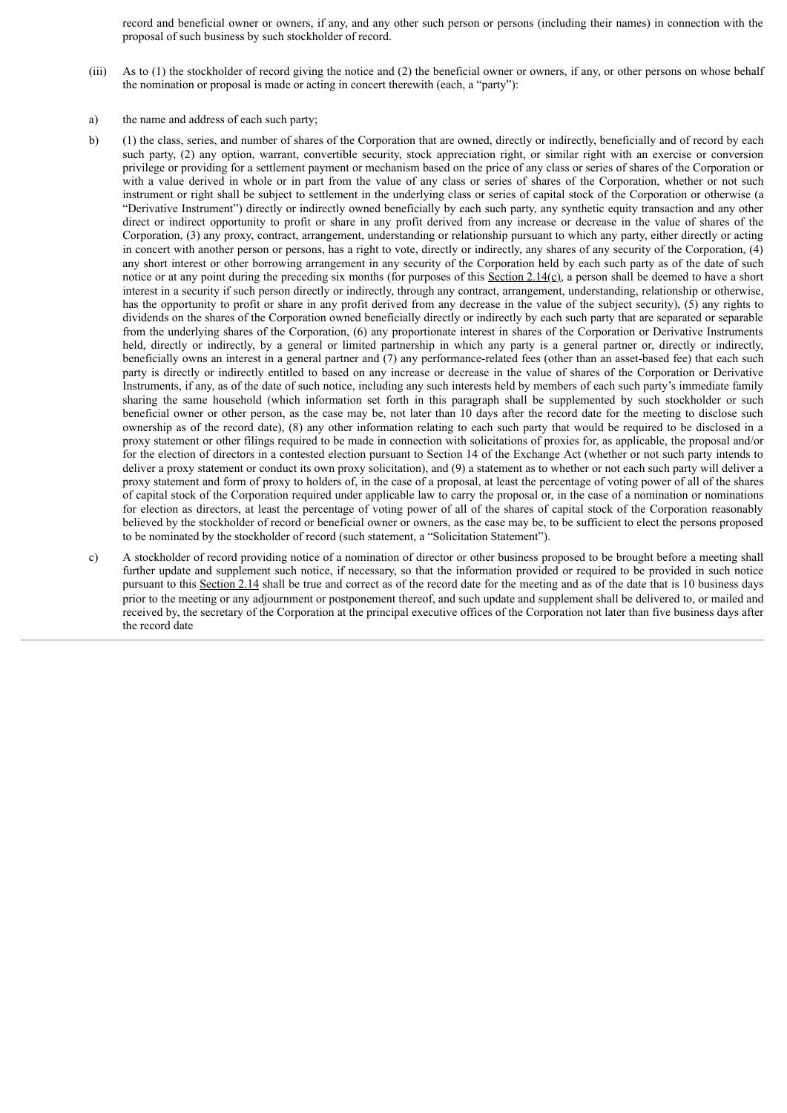record and beneficial owner or owners, if any, and any other such person or persons (including their names) in connection with the proposal of such business by such stockholder of record.

- (iii) As to (1) the stockholder of record giving the notice and (2) the beneficial owner or owners, if any, or other persons on whose behalf the nomination or proposal is made or acting in concert therewith (each, a "party"):
- a) the name and address of each such party;
- b) (1) the class, series, and number of shares of the Corporation that are owned, directly or indirectly, beneficially and of record by each such party, (2) any option, warrant, convertible security, stock appreciation right, or similar right with an exercise or conversion privilege or providing for a settlement payment or mechanism based on the price of any class or series of shares of the Corporation or with a value derived in whole or in part from the value of any class or series of shares of the Corporation, whether or not such instrument or right shall be subject to settlement in the underlying class or series of capital stock of the Corporation or otherwise (a "Derivative Instrument") directly or indirectly owned beneficially by each such party, any synthetic equity transaction and any other direct or indirect opportunity to profit or share in any profit derived from any increase or decrease in the value of shares of the Corporation, (3) any proxy, contract, arrangement, understanding or relationship pursuant to which any party, either directly or acting in concert with another person or persons, has a right to vote, directly or indirectly, any shares of any security of the Corporation, (4) any short interest or other borrowing arrangement in any security of the Corporation held by each such party as of the date of such notice or at any point during the preceding six months (for purposes of this  $Section 2.14(c)$ , a person shall be deemed to have a short interest in a security if such person directly or indirectly, through any contract, arrangement, understanding, relationship or otherwise, has the opportunity to profit or share in any profit derived from any decrease in the value of the subject security), (5) any rights to dividends on the shares of the Corporation owned beneficially directly or indirectly by each such party that are separated or separable from the underlying shares of the Corporation, (6) any proportionate interest in shares of the Corporation or Derivative Instruments held, directly or indirectly, by a general or limited partnership in which any party is a general partner or, directly or indirectly, beneficially owns an interest in a general partner and (7) any performance-related fees (other than an asset-based fee) that each such party is directly or indirectly entitled to based on any increase or decrease in the value of shares of the Corporation or Derivative Instruments, if any, as of the date of such notice, including any such interests held by members of each such party's immediate family sharing the same household (which information set forth in this paragraph shall be supplemented by such stockholder or such beneficial owner or other person, as the case may be, not later than 10 days after the record date for the meeting to disclose such ownership as of the record date), (8) any other information relating to each such party that would be required to be disclosed in a proxy statement or other filings required to be made in connection with solicitations of proxies for, as applicable, the proposal and/or for the election of directors in a contested election pursuant to Section 14 of the Exchange Act (whether or not such party intends to deliver a proxy statement or conduct its own proxy solicitation), and (9) a statement as to whether or not each such party will deliver a proxy statement and form of proxy to holders of, in the case of a proposal, at least the percentage of voting power of all of the shares of capital stock of the Corporation required under applicable law to carry the proposal or, in the case of a nomination or nominations for election as directors, at least the percentage of voting power of all of the shares of capital stock of the Corporation reasonably believed by the stockholder of record or beneficial owner or owners, as the case may be, to be sufficient to elect the persons proposed to be nominated by the stockholder of record (such statement, a "Solicitation Statement").
- c) A stockholder of record providing notice of a nomination of director or other business proposed to be brought before a meeting shall further update and supplement such notice, if necessary, so that the information provided or required to be provided in such notice pursuant to this Section 2.14 shall be true and correct as of the record date for the meeting and as of the date that is 10 business days prior to the meeting or any adjournment or postponement thereof, and such update and supplement shall be delivered to, or mailed and received by, the secretary of the Corporation at the principal executive offices of the Corporation not later than five business days after the record date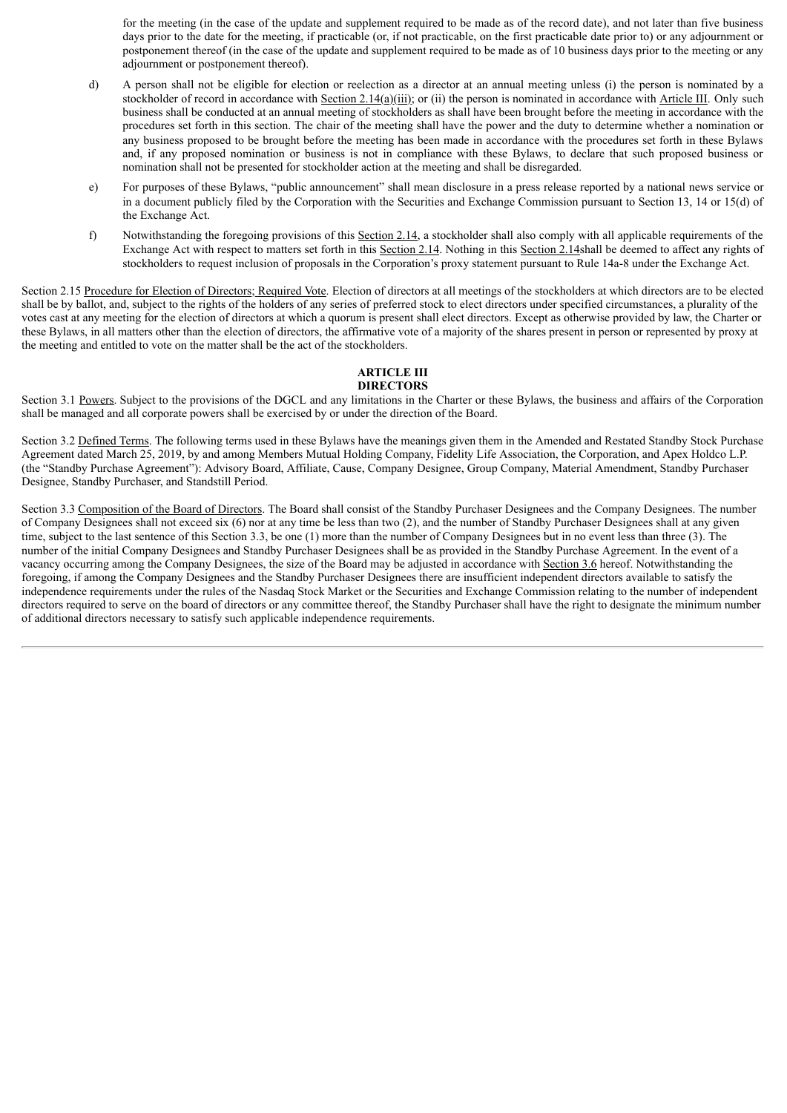for the meeting (in the case of the update and supplement required to be made as of the record date), and not later than five business days prior to the date for the meeting, if practicable (or, if not practicable, on the first practicable date prior to) or any adjournment or postponement thereof (in the case of the update and supplement required to be made as of 10 business days prior to the meeting or any adjournment or postponement thereof).

- d) A person shall not be eligible for election or reelection as a director at an annual meeting unless (i) the person is nominated by a stockholder of record in accordance with Section  $2.14(a)(iii)$ ; or (ii) the person is nominated in accordance with Article III. Only such business shall be conducted at an annual meeting of stockholders as shall have been brought before the meeting in accordance with the procedures set forth in this section. The chair of the meeting shall have the power and the duty to determine whether a nomination or any business proposed to be brought before the meeting has been made in accordance with the procedures set forth in these Bylaws and, if any proposed nomination or business is not in compliance with these Bylaws, to declare that such proposed business or nomination shall not be presented for stockholder action at the meeting and shall be disregarded.
- e) For purposes of these Bylaws, "public announcement" shall mean disclosure in a press release reported by a national news service or in a document publicly filed by the Corporation with the Securities and Exchange Commission pursuant to Section 13, 14 or 15(d) of the Exchange Act.
- f) Notwithstanding the foregoing provisions of this Section 2.14, a stockholder shall also comply with all applicable requirements of the Exchange Act with respect to matters set forth in this Section 2.14. Nothing in this Section 2.14shall be deemed to affect any rights of stockholders to request inclusion of proposals in the Corporation's proxy statement pursuant to Rule 14a-8 under the Exchange Act.

Section 2.15 Procedure for Election of Directors; Required Vote. Election of directors at all meetings of the stockholders at which directors are to be elected shall be by ballot, and, subject to the rights of the holders of any series of preferred stock to elect directors under specified circumstances, a plurality of the votes cast at any meeting for the election of directors at which a quorum is present shall elect directors. Except as otherwise provided by law, the Charter or these Bylaws, in all matters other than the election of directors, the affirmative vote of a majority of the shares present in person or represented by proxy at the meeting and entitled to vote on the matter shall be the act of the stockholders.

#### **ARTICLE III DIRECTORS**

Section 3.1 Powers. Subject to the provisions of the DGCL and any limitations in the Charter or these Bylaws, the business and affairs of the Corporation shall be managed and all corporate powers shall be exercised by or under the direction of the Board.

Section 3.2 Defined Terms. The following terms used in these Bylaws have the meanings given them in the Amended and Restated Standby Stock Purchase Agreement dated March 25, 2019, by and among Members Mutual Holding Company, Fidelity Life Association, the Corporation, and Apex Holdco L.P. (the "Standby Purchase Agreement"): Advisory Board, Affiliate, Cause, Company Designee, Group Company, Material Amendment, Standby Purchaser Designee, Standby Purchaser, and Standstill Period.

Section 3.3 Composition of the Board of Directors. The Board shall consist of the Standby Purchaser Designees and the Company Designees. The number of Company Designees shall not exceed six (6) nor at any time be less than two (2), and the number of Standby Purchaser Designees shall at any given time, subject to the last sentence of this Section 3.3, be one (1) more than the number of Company Designees but in no event less than three (3). The number of the initial Company Designees and Standby Purchaser Designees shall be as provided in the Standby Purchase Agreement. In the event of a vacancy occurring among the Company Designees, the size of the Board may be adjusted in accordance with Section 3.6 hereof. Notwithstanding the foregoing, if among the Company Designees and the Standby Purchaser Designees there are insufficient independent directors available to satisfy the independence requirements under the rules of the Nasdaq Stock Market or the Securities and Exchange Commission relating to the number of independent directors required to serve on the board of directors or any committee thereof, the Standby Purchaser shall have the right to designate the minimum number of additional directors necessary to satisfy such applicable independence requirements.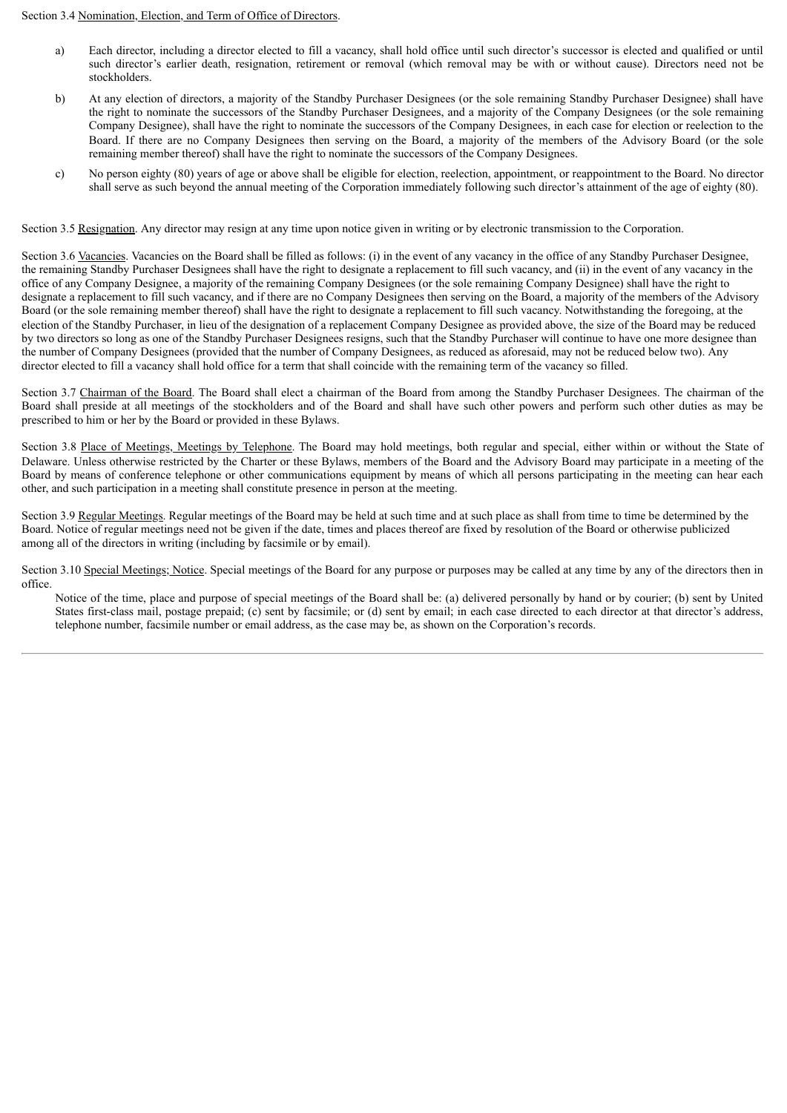### Section 3.4 Nomination, Election, and Term of Office of Directors.

- a) Each director, including a director elected to fill a vacancy, shall hold office until such director's successor is elected and qualified or until such director's earlier death, resignation, retirement or removal (which removal may be with or without cause). Directors need not be stockholders.
- b) At any election of directors, a majority of the Standby Purchaser Designees (or the sole remaining Standby Purchaser Designee) shall have the right to nominate the successors of the Standby Purchaser Designees, and a majority of the Company Designees (or the sole remaining Company Designee), shall have the right to nominate the successors of the Company Designees, in each case for election or reelection to the Board. If there are no Company Designees then serving on the Board, a majority of the members of the Advisory Board (or the sole remaining member thereof) shall have the right to nominate the successors of the Company Designees.
- c) No person eighty (80) years of age or above shall be eligible for election, reelection, appointment, or reappointment to the Board. No director shall serve as such beyond the annual meeting of the Corporation immediately following such director's attainment of the age of eighty (80).

Section 3.5 Resignation. Any director may resign at any time upon notice given in writing or by electronic transmission to the Corporation.

Section 3.6 Vacancies. Vacancies on the Board shall be filled as follows: (i) in the event of any vacancy in the office of any Standby Purchaser Designee, the remaining Standby Purchaser Designees shall have the right to designate a replacement to fill such vacancy, and (ii) in the event of any vacancy in the office of any Company Designee, a majority of the remaining Company Designees (or the sole remaining Company Designee) shall have the right to designate a replacement to fill such vacancy, and if there are no Company Designees then serving on the Board, a majority of the members of the Advisory Board (or the sole remaining member thereof) shall have the right to designate a replacement to fill such vacancy. Notwithstanding the foregoing, at the election of the Standby Purchaser, in lieu of the designation of a replacement Company Designee as provided above, the size of the Board may be reduced by two directors so long as one of the Standby Purchaser Designees resigns, such that the Standby Purchaser will continue to have one more designee than the number of Company Designees (provided that the number of Company Designees, as reduced as aforesaid, may not be reduced below two). Any director elected to fill a vacancy shall hold office for a term that shall coincide with the remaining term of the vacancy so filled.

Section 3.7 Chairman of the Board. The Board shall elect a chairman of the Board from among the Standby Purchaser Designees. The chairman of the Board shall preside at all meetings of the stockholders and of the Board and shall have such other powers and perform such other duties as may be prescribed to him or her by the Board or provided in these Bylaws.

Section 3.8 Place of Meetings, Meetings by Telephone. The Board may hold meetings, both regular and special, either within or without the State of Delaware. Unless otherwise restricted by the Charter or these Bylaws, members of the Board and the Advisory Board may participate in a meeting of the Board by means of conference telephone or other communications equipment by means of which all persons participating in the meeting can hear each other, and such participation in a meeting shall constitute presence in person at the meeting.

Section 3.9 Regular Meetings. Regular meetings of the Board may be held at such time and at such place as shall from time to time be determined by the Board. Notice of regular meetings need not be given if the date, times and places thereof are fixed by resolution of the Board or otherwise publicized among all of the directors in writing (including by facsimile or by email).

Section 3.10 Special Meetings; Notice. Special meetings of the Board for any purpose or purposes may be called at any time by any of the directors then in office.

Notice of the time, place and purpose of special meetings of the Board shall be: (a) delivered personally by hand or by courier; (b) sent by United States first-class mail, postage prepaid; (c) sent by facsimile; or (d) sent by email; in each case directed to each director at that director's address, telephone number, facsimile number or email address, as the case may be, as shown on the Corporation's records.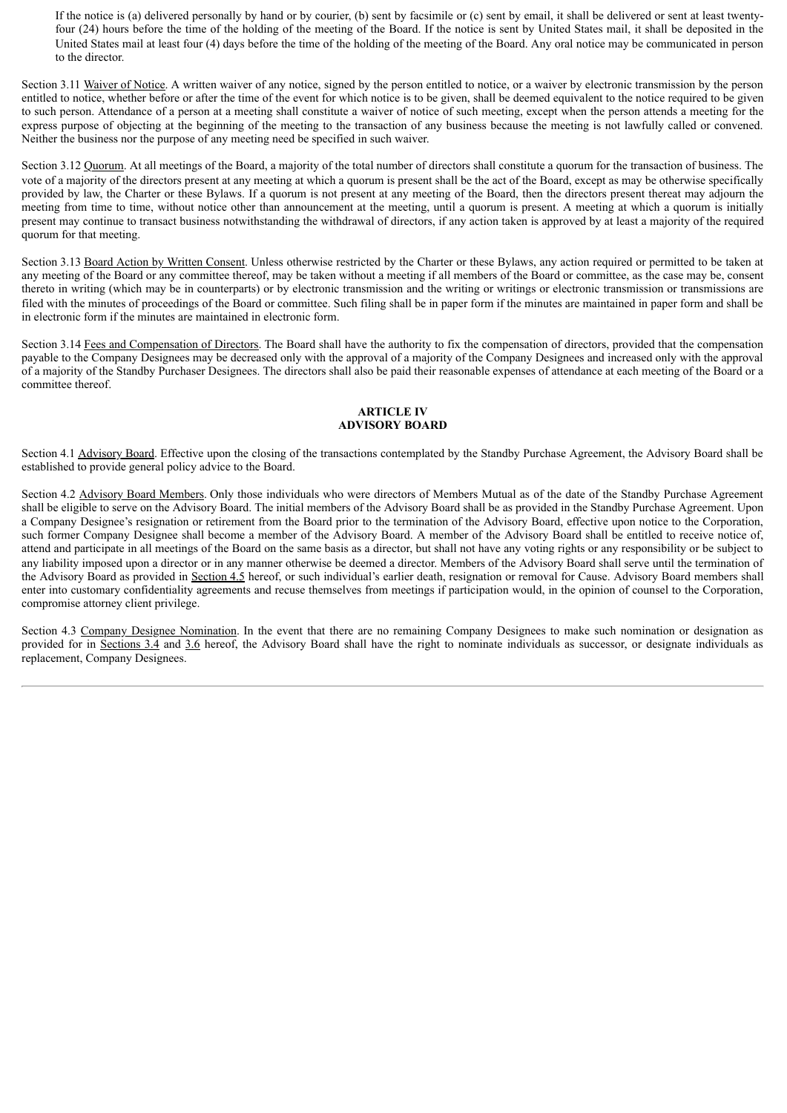If the notice is (a) delivered personally by hand or by courier, (b) sent by facsimile or (c) sent by email, it shall be delivered or sent at least twentyfour (24) hours before the time of the holding of the meeting of the Board. If the notice is sent by United States mail, it shall be deposited in the United States mail at least four (4) days before the time of the holding of the meeting of the Board. Any oral notice may be communicated in person to the director.

Section 3.11 Waiver of Notice. A written waiver of any notice, signed by the person entitled to notice, or a waiver by electronic transmission by the person entitled to notice, whether before or after the time of the event for which notice is to be given, shall be deemed equivalent to the notice required to be given to such person. Attendance of a person at a meeting shall constitute a waiver of notice of such meeting, except when the person attends a meeting for the express purpose of objecting at the beginning of the meeting to the transaction of any business because the meeting is not lawfully called or convened. Neither the business nor the purpose of any meeting need be specified in such waiver.

Section 3.12 Quorum. At all meetings of the Board, a majority of the total number of directors shall constitute a quorum for the transaction of business. The vote of a majority of the directors present at any meeting at which a quorum is present shall be the act of the Board, except as may be otherwise specifically provided by law, the Charter or these Bylaws. If a quorum is not present at any meeting of the Board, then the directors present thereat may adjourn the meeting from time to time, without notice other than announcement at the meeting, until a quorum is present. A meeting at which a quorum is initially present may continue to transact business notwithstanding the withdrawal of directors, if any action taken is approved by at least a majority of the required quorum for that meeting.

Section 3.13 Board Action by Written Consent. Unless otherwise restricted by the Charter or these Bylaws, any action required or permitted to be taken at any meeting of the Board or any committee thereof, may be taken without a meeting if all members of the Board or committee, as the case may be, consent thereto in writing (which may be in counterparts) or by electronic transmission and the writing or writings or electronic transmission or transmissions are filed with the minutes of proceedings of the Board or committee. Such filing shall be in paper form if the minutes are maintained in paper form and shall be in electronic form if the minutes are maintained in electronic form.

Section 3.14 Fees and Compensation of Directors. The Board shall have the authority to fix the compensation of directors, provided that the compensation payable to the Company Designees may be decreased only with the approval of a majority of the Company Designees and increased only with the approval of a majority of the Standby Purchaser Designees. The directors shall also be paid their reasonable expenses of attendance at each meeting of the Board or a committee thereof.

### **ARTICLE IV ADVISORY BOARD**

Section 4.1 Advisory Board. Effective upon the closing of the transactions contemplated by the Standby Purchase Agreement, the Advisory Board shall be established to provide general policy advice to the Board.

Section 4.2 Advisory Board Members. Only those individuals who were directors of Members Mutual as of the date of the Standby Purchase Agreement shall be eligible to serve on the Advisory Board. The initial members of the Advisory Board shall be as provided in the Standby Purchase Agreement. Upon a Company Designee's resignation or retirement from the Board prior to the termination of the Advisory Board, effective upon notice to the Corporation, such former Company Designee shall become a member of the Advisory Board. A member of the Advisory Board shall be entitled to receive notice of, attend and participate in all meetings of the Board on the same basis as a director, but shall not have any voting rights or any responsibility or be subject to any liability imposed upon a director or in any manner otherwise be deemed a director. Members of the Advisory Board shall serve until the termination of the Advisory Board as provided in Section 4.5 hereof, or such individual's earlier death, resignation or removal for Cause. Advisory Board members shall enter into customary confidentiality agreements and recuse themselves from meetings if participation would, in the opinion of counsel to the Corporation, compromise attorney client privilege.

Section 4.3 Company Designee Nomination. In the event that there are no remaining Company Designees to make such nomination or designation as provided for in Sections 3.4 and 3.6 hereof, the Advisory Board shall have the right to nominate individuals as successor, or designate individuals as replacement, Company Designees.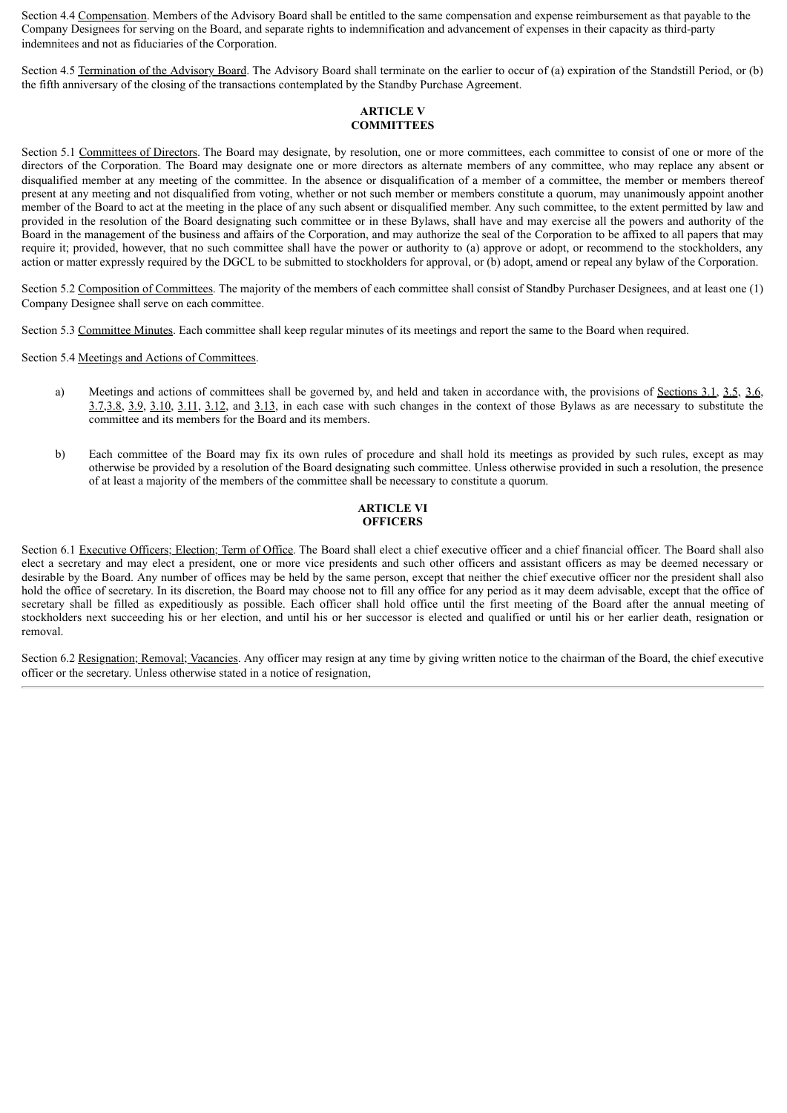Section 4.4 Compensation. Members of the Advisory Board shall be entitled to the same compensation and expense reimbursement as that payable to the Company Designees for serving on the Board, and separate rights to indemnification and advancement of expenses in their capacity as third-party indemnitees and not as fiduciaries of the Corporation.

Section 4.5 Termination of the Advisory Board. The Advisory Board shall terminate on the earlier to occur of (a) expiration of the Standstill Period, or (b) the fifth anniversary of the closing of the transactions contemplated by the Standby Purchase Agreement.

## **ARTICLE V COMMITTEES**

Section 5.1 Committees of Directors. The Board may designate, by resolution, one or more committees, each committee to consist of one or more of the directors of the Corporation. The Board may designate one or more directors as alternate members of any committee, who may replace any absent or disqualified member at any meeting of the committee. In the absence or disqualification of a member of a committee, the member or members thereof present at any meeting and not disqualified from voting, whether or not such member or members constitute a quorum, may unanimously appoint another member of the Board to act at the meeting in the place of any such absent or disqualified member. Any such committee, to the extent permitted by law and provided in the resolution of the Board designating such committee or in these Bylaws, shall have and may exercise all the powers and authority of the Board in the management of the business and affairs of the Corporation, and may authorize the seal of the Corporation to be affixed to all papers that may require it; provided, however, that no such committee shall have the power or authority to (a) approve or adopt, or recommend to the stockholders, any action or matter expressly required by the DGCL to be submitted to stockholders for approval, or (b) adopt, amend or repeal any bylaw of the Corporation.

Section 5.2 Composition of Committees. The majority of the members of each committee shall consist of Standby Purchaser Designees, and at least one (1) Company Designee shall serve on each committee.

Section 5.3 Committee Minutes. Each committee shall keep regular minutes of its meetings and report the same to the Board when required.

Section 5.4 Meetings and Actions of Committees.

- a) Meetings and actions of committees shall be governed by, and held and taken in accordance with, the provisions of Sections 3.1, 3.5, 3.6,  $3.7,3.8, 3.9, 3.10, 3.11, 3.12$ , and  $3.13$ , in each case with such changes in the context of those Bylaws as are necessary to substitute the committee and its members for the Board and its members.
- b) Each committee of the Board may fix its own rules of procedure and shall hold its meetings as provided by such rules, except as may otherwise be provided by a resolution of the Board designating such committee. Unless otherwise provided in such a resolution, the presence of at least a majority of the members of the committee shall be necessary to constitute a quorum.

### **ARTICLE VI OFFICERS**

Section 6.1 Executive Officers; Election; Term of Office. The Board shall elect a chief executive officer and a chief financial officer. The Board shall also elect a secretary and may elect a president, one or more vice presidents and such other officers and assistant officers as may be deemed necessary or desirable by the Board. Any number of offices may be held by the same person, except that neither the chief executive officer nor the president shall also hold the office of secretary. In its discretion, the Board may choose not to fill any office for any period as it may deem advisable, except that the office of secretary shall be filled as expeditiously as possible. Each officer shall hold office until the first meeting of the Board after the annual meeting of stockholders next succeeding his or her election, and until his or her successor is elected and qualified or until his or her earlier death, resignation or removal.

Section 6.2 Resignation; Removal; Vacancies. Any officer may resign at any time by giving written notice to the chairman of the Board, the chief executive officer or the secretary. Unless otherwise stated in a notice of resignation,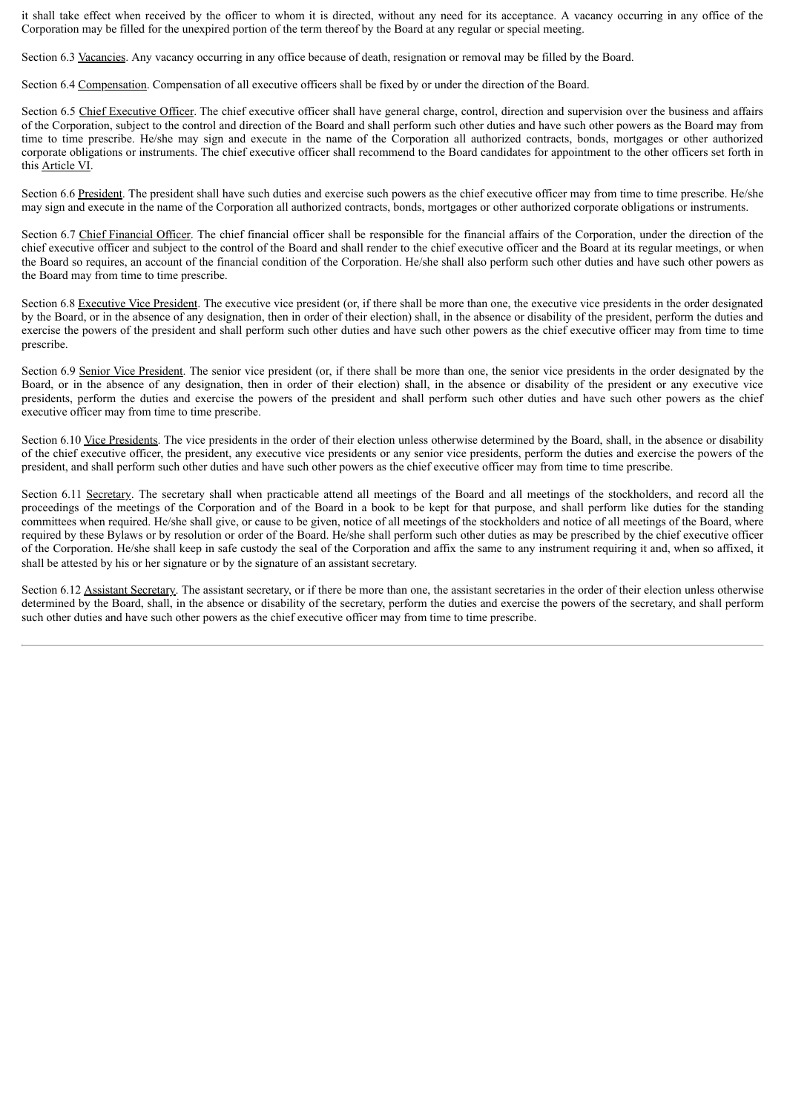it shall take effect when received by the officer to whom it is directed, without any need for its acceptance. A vacancy occurring in any office of the Corporation may be filled for the unexpired portion of the term thereof by the Board at any regular or special meeting.

Section 6.3 Vacancies. Any vacancy occurring in any office because of death, resignation or removal may be filled by the Board.

Section 6.4 Compensation. Compensation of all executive officers shall be fixed by or under the direction of the Board.

Section 6.5 Chief Executive Officer. The chief executive officer shall have general charge, control, direction and supervision over the business and affairs of the Corporation, subject to the control and direction of the Board and shall perform such other duties and have such other powers as the Board may from time to time prescribe. He/she may sign and execute in the name of the Corporation all authorized contracts, bonds, mortgages or other authorized corporate obligations or instruments. The chief executive officer shall recommend to the Board candidates for appointment to the other officers set forth in this Article VI.

Section 6.6 President. The president shall have such duties and exercise such powers as the chief executive officer may from time to time prescribe. He/she may sign and execute in the name of the Corporation all authorized contracts, bonds, mortgages or other authorized corporate obligations or instruments.

Section 6.7 Chief Financial Officer. The chief financial officer shall be responsible for the financial affairs of the Corporation, under the direction of the chief executive officer and subject to the control of the Board and shall render to the chief executive officer and the Board at its regular meetings, or when the Board so requires, an account of the financial condition of the Corporation. He/she shall also perform such other duties and have such other powers as the Board may from time to time prescribe.

Section 6.8 Executive Vice President. The executive vice president (or, if there shall be more than one, the executive vice presidents in the order designated by the Board, or in the absence of any designation, then in order of their election) shall, in the absence or disability of the president, perform the duties and exercise the powers of the president and shall perform such other duties and have such other powers as the chief executive officer may from time to time prescribe.

Section 6.9 Senior Vice President. The senior vice president (or, if there shall be more than one, the senior vice presidents in the order designated by the Board, or in the absence of any designation, then in order of their election) shall, in the absence or disability of the president or any executive vice presidents, perform the duties and exercise the powers of the president and shall perform such other duties and have such other powers as the chief executive officer may from time to time prescribe.

Section 6.10 Vice Presidents. The vice presidents in the order of their election unless otherwise determined by the Board, shall, in the absence or disability of the chief executive officer, the president, any executive vice presidents or any senior vice presidents, perform the duties and exercise the powers of the president, and shall perform such other duties and have such other powers as the chief executive officer may from time to time prescribe.

Section 6.11 Secretary. The secretary shall when practicable attend all meetings of the Board and all meetings of the stockholders, and record all the proceedings of the meetings of the Corporation and of the Board in a book to be kept for that purpose, and shall perform like duties for the standing committees when required. He/she shall give, or cause to be given, notice of all meetings of the stockholders and notice of all meetings of the Board, where required by these Bylaws or by resolution or order of the Board. He/she shall perform such other duties as may be prescribed by the chief executive officer of the Corporation. He/she shall keep in safe custody the seal of the Corporation and affix the same to any instrument requiring it and, when so affixed, it shall be attested by his or her signature or by the signature of an assistant secretary.

Section 6.12 Assistant Secretary. The assistant secretary, or if there be more than one, the assistant secretaries in the order of their election unless otherwise determined by the Board, shall, in the absence or disability of the secretary, perform the duties and exercise the powers of the secretary, and shall perform such other duties and have such other powers as the chief executive officer may from time to time prescribe.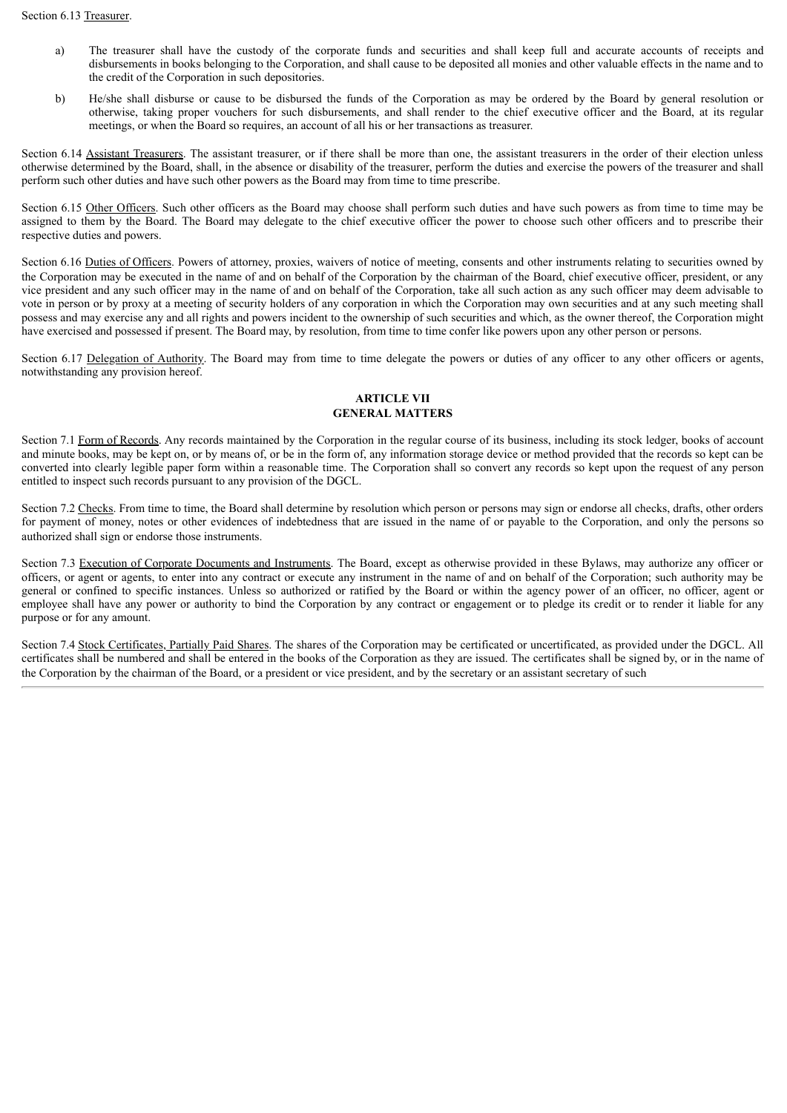### Section 6.13 Treasurer.

- a) The treasurer shall have the custody of the corporate funds and securities and shall keep full and accurate accounts of receipts and disbursements in books belonging to the Corporation, and shall cause to be deposited all monies and other valuable effects in the name and to the credit of the Corporation in such depositories.
- b) He/she shall disburse or cause to be disbursed the funds of the Corporation as may be ordered by the Board by general resolution or otherwise, taking proper vouchers for such disbursements, and shall render to the chief executive officer and the Board, at its regular meetings, or when the Board so requires, an account of all his or her transactions as treasurer.

Section 6.14 Assistant Treasurers. The assistant treasurer, or if there shall be more than one, the assistant treasurers in the order of their election unless otherwise determined by the Board, shall, in the absence or disability of the treasurer, perform the duties and exercise the powers of the treasurer and shall perform such other duties and have such other powers as the Board may from time to time prescribe.

Section 6.15 Other Officers. Such other officers as the Board may choose shall perform such duties and have such powers as from time to time may be assigned to them by the Board. The Board may delegate to the chief executive officer the power to choose such other officers and to prescribe their respective duties and powers.

Section 6.16 Duties of Officers. Powers of attorney, proxies, waivers of notice of meeting, consents and other instruments relating to securities owned by the Corporation may be executed in the name of and on behalf of the Corporation by the chairman of the Board, chief executive officer, president, or any vice president and any such officer may in the name of and on behalf of the Corporation, take all such action as any such officer may deem advisable to vote in person or by proxy at a meeting of security holders of any corporation in which the Corporation may own securities and at any such meeting shall possess and may exercise any and all rights and powers incident to the ownership of such securities and which, as the owner thereof, the Corporation might have exercised and possessed if present. The Board may, by resolution, from time to time confer like powers upon any other person or persons.

Section 6.17 Delegation of Authority. The Board may from time to time delegate the powers or duties of any officer to any other officers or agents, notwithstanding any provision hereof.

### **ARTICLE VII GENERAL MATTERS**

Section 7.1 Form of Records. Any records maintained by the Corporation in the regular course of its business, including its stock ledger, books of account and minute books, may be kept on, or by means of, or be in the form of, any information storage device or method provided that the records so kept can be converted into clearly legible paper form within a reasonable time. The Corporation shall so convert any records so kept upon the request of any person entitled to inspect such records pursuant to any provision of the DGCL.

Section 7.2 Checks. From time to time, the Board shall determine by resolution which person or persons may sign or endorse all checks, drafts, other orders for payment of money, notes or other evidences of indebtedness that are issued in the name of or payable to the Corporation, and only the persons so authorized shall sign or endorse those instruments.

Section 7.3 Execution of Corporate Documents and Instruments. The Board, except as otherwise provided in these Bylaws, may authorize any officer or officers, or agent or agents, to enter into any contract or execute any instrument in the name of and on behalf of the Corporation; such authority may be general or confined to specific instances. Unless so authorized or ratified by the Board or within the agency power of an officer, no officer, agent or employee shall have any power or authority to bind the Corporation by any contract or engagement or to pledge its credit or to render it liable for any purpose or for any amount.

Section 7.4 Stock Certificates, Partially Paid Shares. The shares of the Corporation may be certificated or uncertificated, as provided under the DGCL. All certificates shall be numbered and shall be entered in the books of the Corporation as they are issued. The certificates shall be signed by, or in the name of the Corporation by the chairman of the Board, or a president or vice president, and by the secretary or an assistant secretary of such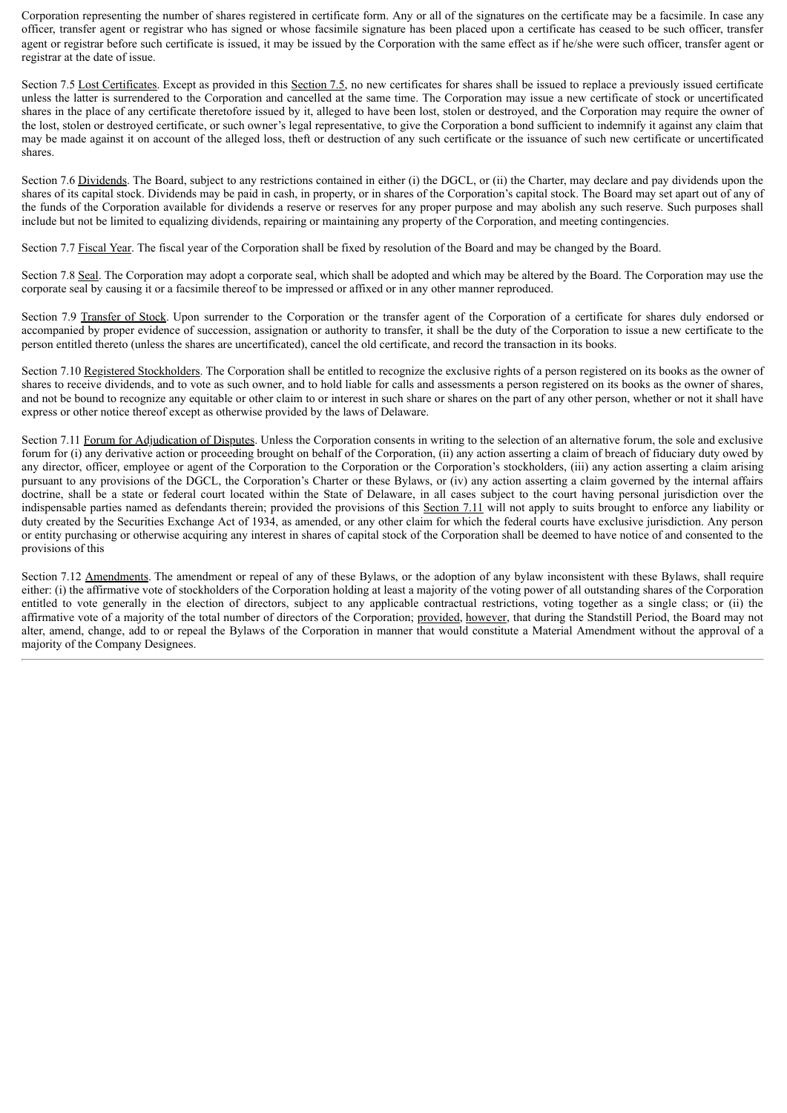Corporation representing the number of shares registered in certificate form. Any or all of the signatures on the certificate may be a facsimile. In case any officer, transfer agent or registrar who has signed or whose facsimile signature has been placed upon a certificate has ceased to be such officer, transfer agent or registrar before such certificate is issued, it may be issued by the Corporation with the same effect as if he/she were such officer, transfer agent or registrar at the date of issue.

Section 7.5 Lost Certificates. Except as provided in this Section 7.5, no new certificates for shares shall be issued to replace a previously issued certificate unless the latter is surrendered to the Corporation and cancelled at the same time. The Corporation may issue a new certificate of stock or uncertificated shares in the place of any certificate theretofore issued by it, alleged to have been lost, stolen or destroyed, and the Corporation may require the owner of the lost, stolen or destroyed certificate, or such owner's legal representative, to give the Corporation a bond sufficient to indemnify it against any claim that may be made against it on account of the alleged loss, theft or destruction of any such certificate or the issuance of such new certificate or uncertificated shares.

Section 7.6 Dividends. The Board, subject to any restrictions contained in either (i) the DGCL, or (ii) the Charter, may declare and pay dividends upon the shares of its capital stock. Dividends may be paid in cash, in property, or in shares of the Corporation's capital stock. The Board may set apart out of any of the funds of the Corporation available for dividends a reserve or reserves for any proper purpose and may abolish any such reserve. Such purposes shall include but not be limited to equalizing dividends, repairing or maintaining any property of the Corporation, and meeting contingencies.

Section 7.7 Fiscal Year. The fiscal year of the Corporation shall be fixed by resolution of the Board and may be changed by the Board.

Section 7.8 Seal. The Corporation may adopt a corporate seal, which shall be adopted and which may be altered by the Board. The Corporation may use the corporate seal by causing it or a facsimile thereof to be impressed or affixed or in any other manner reproduced.

Section 7.9 Transfer of Stock. Upon surrender to the Corporation or the transfer agent of the Corporation of a certificate for shares duly endorsed or accompanied by proper evidence of succession, assignation or authority to transfer, it shall be the duty of the Corporation to issue a new certificate to the person entitled thereto (unless the shares are uncertificated), cancel the old certificate, and record the transaction in its books.

Section 7.10 Registered Stockholders. The Corporation shall be entitled to recognize the exclusive rights of a person registered on its books as the owner of shares to receive dividends, and to vote as such owner, and to hold liable for calls and assessments a person registered on its books as the owner of shares, and not be bound to recognize any equitable or other claim to or interest in such share or shares on the part of any other person, whether or not it shall have express or other notice thereof except as otherwise provided by the laws of Delaware.

Section 7.11 Forum for Adjudication of Disputes. Unless the Corporation consents in writing to the selection of an alternative forum, the sole and exclusive forum for (i) any derivative action or proceeding brought on behalf of the Corporation, (ii) any action asserting a claim of breach of fiduciary duty owed by any director, officer, employee or agent of the Corporation to the Corporation or the Corporation's stockholders, (iii) any action asserting a claim arising pursuant to any provisions of the DGCL, the Corporation's Charter or these Bylaws, or (iv) any action asserting a claim governed by the internal affairs doctrine, shall be a state or federal court located within the State of Delaware, in all cases subject to the court having personal jurisdiction over the indispensable parties named as defendants therein; provided the provisions of this Section 7.11 will not apply to suits brought to enforce any liability or duty created by the Securities Exchange Act of 1934, as amended, or any other claim for which the federal courts have exclusive jurisdiction. Any person or entity purchasing or otherwise acquiring any interest in shares of capital stock of the Corporation shall be deemed to have notice of and consented to the provisions of this

Section 7.12 Amendments. The amendment or repeal of any of these Bylaws, or the adoption of any bylaw inconsistent with these Bylaws, shall require either: (i) the affirmative vote of stockholders of the Corporation holding at least a majority of the voting power of all outstanding shares of the Corporation entitled to vote generally in the election of directors, subject to any applicable contractual restrictions, voting together as a single class; or (ii) the affirmative vote of a majority of the total number of directors of the Corporation; provided, however, that during the Standstill Period, the Board may not alter, amend, change, add to or repeal the Bylaws of the Corporation in manner that would constitute a Material Amendment without the approval of a majority of the Company Designees.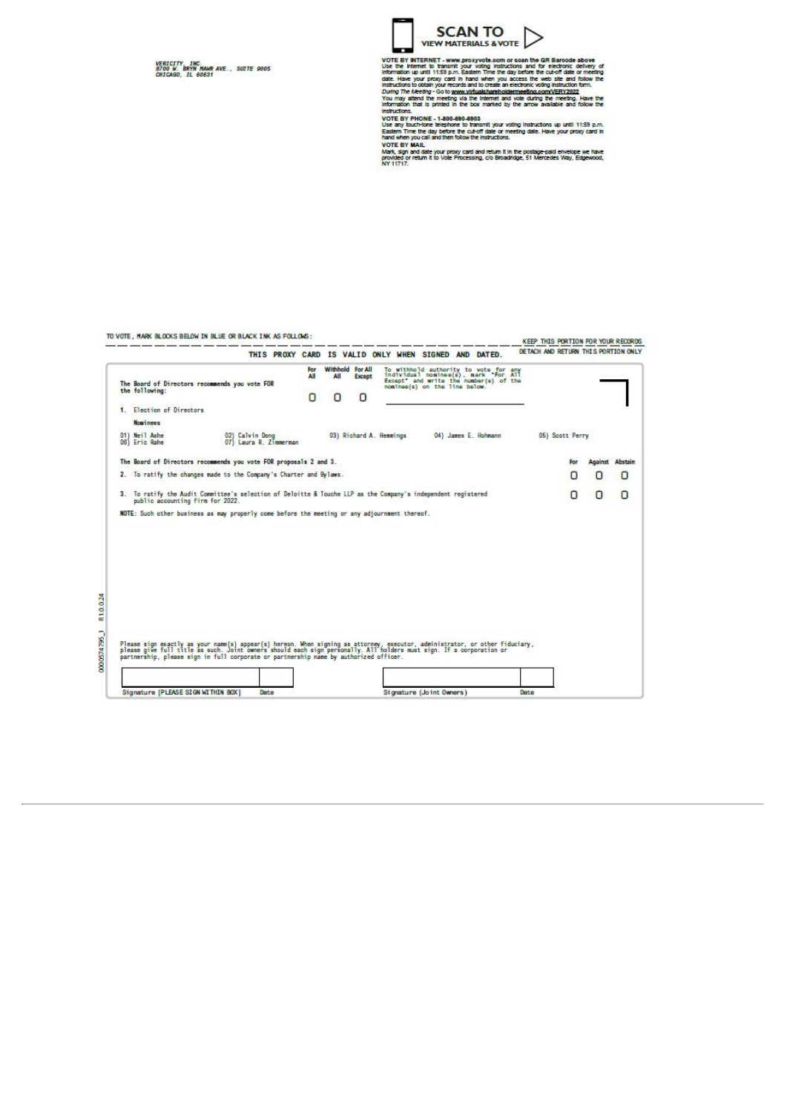

VERICITY, INC.<br>8700 W. BRYN MAWR AVE., SUITE 900S<br>CHICAGO, IL 60631

VIEW MATERIALS & VOTE<br>
VOTE BY INTERNET - www.proxyvote.com or soan the GR Bareode above<br>
USE the Internet to transmit your voltro internetion and the GR Bareode above<br>
internetion up until it its p.m. Badem Time the day b

TO VOTE, MARK BLOCKS BELOW IN BLUE OR BLACK INK AS FOLLOWS:

|                                                                                                                                                                                                                                                                                                                           | THIS PROXY CARD IS VALID ONLY WHEN SIGNED AND DATED. |                 |          |                                 |                                                                                                                                                          |  |                      | DETACH AND RETURN THIS PORTION ONLY |                 |                 |   |
|---------------------------------------------------------------------------------------------------------------------------------------------------------------------------------------------------------------------------------------------------------------------------------------------------------------------------|------------------------------------------------------|-----------------|----------|---------------------------------|----------------------------------------------------------------------------------------------------------------------------------------------------------|--|----------------------|-------------------------------------|-----------------|-----------------|---|
| The Board of Directors recommends you vote FOR<br>the following:                                                                                                                                                                                                                                                          |                                                      | For<br>Ail<br>0 | All<br>0 | Withhold For All<br>Except<br>Ω | To withhold authority to vote for any<br>individual mominae(s), mark "For All<br>Except" and write the number(s) of the<br>nominee(s) on the line below. |  |                      |                                     |                 |                 |   |
| 1. Election of Directors                                                                                                                                                                                                                                                                                                  |                                                      |                 |          |                                 |                                                                                                                                                          |  |                      |                                     |                 |                 |   |
| <b>Nominees</b>                                                                                                                                                                                                                                                                                                           |                                                      |                 |          |                                 |                                                                                                                                                          |  |                      |                                     |                 |                 |   |
| 011 Neil Ashe<br>06) Eric Rahe                                                                                                                                                                                                                                                                                            | 02) Calvin Dong<br>07) Laura R. Zimmerman            |                 |          |                                 | 03) Richard A. Hemmings                                                                                                                                  |  | 04) James E. Hohmann |                                     | 05) Scott Perry |                 |   |
| The Board of Directors recommends you vote FOR proposals 2 and 3.                                                                                                                                                                                                                                                         |                                                      |                 |          |                                 |                                                                                                                                                          |  |                      |                                     |                 | Against Abstain |   |
| 2. To ratify the changes made to the Company's Charter and Bylaws.                                                                                                                                                                                                                                                        |                                                      |                 |          |                                 |                                                                                                                                                          |  |                      |                                     |                 | Ω               | 0 |
| 3. To ratify the Audit Committee's selection of Deloitte & Touche LLP as the Company's independent registered<br>public accounting firm for 2022.                                                                                                                                                                         |                                                      |                 |          |                                 |                                                                                                                                                          |  |                      |                                     | n               | 0               | 0 |
|                                                                                                                                                                                                                                                                                                                           |                                                      |                 |          |                                 |                                                                                                                                                          |  |                      |                                     |                 |                 |   |
|                                                                                                                                                                                                                                                                                                                           |                                                      |                 |          |                                 |                                                                                                                                                          |  |                      |                                     |                 |                 |   |
|                                                                                                                                                                                                                                                                                                                           |                                                      |                 |          |                                 |                                                                                                                                                          |  |                      |                                     |                 |                 |   |
| Please sign exactly as your name(s) appear(s) hereon. When signing as attorney, executor, administrator, or other fiduciary,<br>please give full title as such. Joint owners should each sign personally. All holders must sign.<br>partnership, please sign in full corporate or partnership name by authorized officer. |                                                      |                 |          |                                 |                                                                                                                                                          |  |                      |                                     |                 |                 |   |